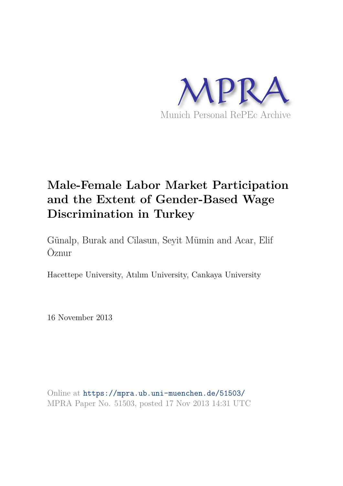

# **Male-Female Labor Market Participation and the Extent of Gender-Based Wage Discrimination in Turkey**

Günalp, Burak and Cilasun, Seyit Mümin and Acar, Elif Öznur

Hacettepe University, Atılım University, Cankaya University

16 November 2013

Online at https://mpra.ub.uni-muenchen.de/51503/ MPRA Paper No. 51503, posted 17 Nov 2013 14:31 UTC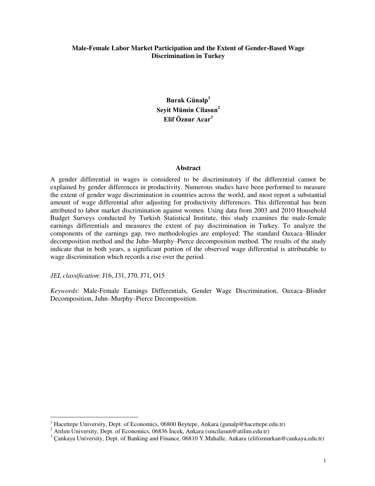#### **Male-Female Labor Market Participation and the Extent of Gender-Based Wage Discrimination in Turkey**

**Burak Günalp<sup>1</sup> Seyit Mümin Cilasun<sup>2</sup> Elif Öznur Acar<sup>3</sup>**

#### **Abstract**

A gender differential in wages is considered to be discriminatory if the differential cannot be explained by gender differences in productivity. Numerous studies have been performed to measure the extent of gender wage discrimination in countries across the world, and most report a substantial amount of wage differential after adjusting for productivity differences. This differential has been attributed to labor market discrimination against women. Using data from 2003 and 2010 Household Budget Surveys conducted by Turkish Statistical Institute, this study examines the male-female earnings differentials and measures the extent of pay discrimination in Turkey. To analyze the components of the earnings gap, two methodologies are employed: The standard Oaxaca–Blinder decomposition method and the Juhn–Murphy–Pierce decomposition method. The results of the study indicate that in both years, a significant portion of the observed wage differential is attributable to wage discrimination which records a rise over the period.

*JEL classification*: J16, J31, J70, J71, O15

*Keywords*: Male-Female Earnings Differentials, Gender Wage Discrimination, Oaxaca–Blinder Decomposition, Juhn–Murphy–Pierce Decomposition.

 1 Hacettepe University, Dept. of Economics, 06800 Beytepe, Ankara (gunalp@hacettepe.edu.tr)

<sup>&</sup>lt;sup>2</sup> Atılım University, Dept. of Economics, 06836 İncek, Ankara (smcilasun@atilim.edu.tr)

<sup>&</sup>lt;sup>3</sup> Cankaya University, Dept. of Banking and Finance, 06810 Y.Mahalle, Ankara (elifoznurkan@cankaya.edu.tr)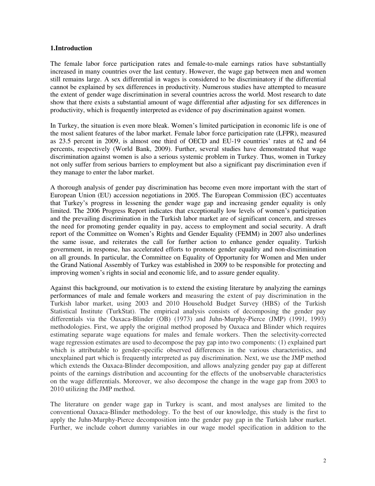#### **1.Introduction**

The female labor force participation rates and female-to-male earnings ratios have substantially increased in many countries over the last century. However, the wage gap between men and women still remains large. A sex differential in wages is considered to be discriminatory if the differential cannot be explained by sex differences in productivity. Numerous studies have attempted to measure the extent of gender wage discrimination in several countries across the world. Most research to date show that there exists a substantial amount of wage differential after adjusting for sex differences in productivity, which is frequently interpreted as evidence of pay discrimination against women.

In Turkey, the situation is even more bleak. Women's limited participation in economic life is one of the most salient features of the labor market. Female labor force participation rate (LFPR), measured as 23.5 percent in 2009, is almost one third of OECD and EU-19 countries' rates at 62 and 64 percents, respectively (World Bank, 2009). Further, several studies have demonstrated that wage discrimination against women is also a serious systemic problem in Turkey. Thus, women in Turkey not only suffer from serious barriers to employment but also a significant pay discrimination even if they manage to enter the labor market.

A thorough analysis of gender pay discrimination has become even more important with the start of European Union (EU) accession negotiations in 2005. The European Commission (EC) accentuates that Turkey's progress in lessening the gender wage gap and increasing gender equality is only limited. The 2006 Progress Report indicates that exceptionally low levels of women's participation and the prevailing discrimination in the Turkish labor market are of significant concern, and stresses the need for promoting gender equality in pay, access to employment and social security. A draft report of the Committee on Women's Rights and Gender Equality (FEMM) in 2007 also underlines the same issue, and reiterates the call for further action to enhance gender equality. Turkish government, in response, has accelerated efforts to promote gender equality and non-discrimination on all grounds. In particular, the Committee on Equality of Opportunity for Women and Men under the Grand National Assembly of Turkey was established in 2009 to be responsible for protecting and improving women's rights in social and economic life, and to assure gender equality.

Against this background, our motivation is to extend the existing literature by analyzing the earnings performances of male and female workers and measuring the extent of pay discrimination in the Turkish labor market, using 2003 and 2010 Household Budget Survey (HBS) of the Turkish Statistical Institute (TurkStat). The empirical analysis consists of decomposing the gender pay differentials via the Oaxaca-Blinder (OB) (1973) and Juhn-Murphy-Pierce (JMP) (1991, 1993) methodologies. First, we apply the original method proposed by Oaxaca and Blinder which requires estimating separate wage equations for males and female workers. Then the selectivity-corrected wage regression estimates are used to decompose the pay gap into two components: (1) explained part which is attributable to gender-specific observed differences in the various characteristics, and unexplained part which is frequently interpreted as pay discrimination. Next, we use the JMP method which extends the Oaxaca-Blinder decomposition, and allows analyzing gender pay gap at different points of the earnings distribution and accounting for the effects of the unobservable characteristics on the wage differentials. Moreover, we also decompose the change in the wage gap from 2003 to 2010 utilizing the JMP method.

The literature on gender wage gap in Turkey is scant, and most analyses are limited to the conventional Oaxaca-Blinder methodology. To the best of our knowledge, this study is the first to apply the Juhn-Murphy-Pierce decomposition into the gender pay gap in the Turkish labor market. Further, we include cohort dummy variables in our wage model specification in addition to the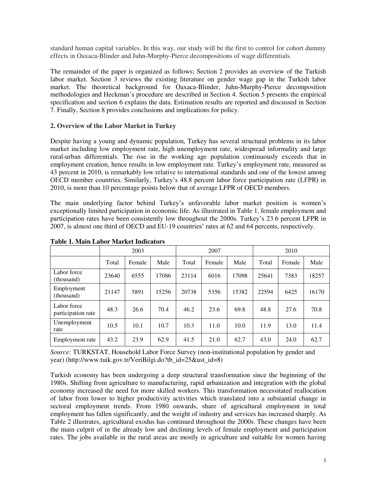standard human capital variables. In this way, our study will be the first to control for cohort dummy effects in Oaxaca-Blinder and Juhn-Murphy-Pierce decompositions of wage differentials.

The remainder of the paper is organized as follows; Section 2 provides an overview of the Turkish labor market. Section 3 reviews the existing literature on gender wage gap in the Turkish labor market. The theoretical background for Oaxaca-Blinder, Juhn-Murphy-Pierce decomposition methodologies and Heckman's procedure are described in Section 4. Section 5 presents the empirical specification and section 6 explains the data. Estimation results are reported and discussed in Section 7. Finally, Section 8 provides conclusions and implications for policy.

# **2. Overview of the Labor Market in Turkey**

Despite having a young and dynamic population, Turkey has several structural problems in its labor market including low employment rate, high unemployment rate, widespread informality and large rural-urban differentials. The rise in the working age population continuously exceeds that in employment creation, hence results in low employment rate. Turkey's employment rate, measured as 43 percent in 2010, is remarkably low relative to international standards and one of the lowest among OECD member countries. Similarly, Turkey's 48.8 percent labor force participation rate (LFPR) in 2010, is more than 10 percentage points below that of average LFPR of OECD members.

The main underlying factor behind Turkey's unfavorable labor market position is women's exceptionally limited participation in economic life. As illustrated in Table 1, female employment and participation rates have been consistently low throughout the 2000s. Turkey's 23.6 percent LFPR in 2007, is almost one third of OECD and EU-19 countries' rates at 62 and 64 percents, respectively.

|                                   | 2003  |        |       |       | 2007   |       | 2010  |        |       |
|-----------------------------------|-------|--------|-------|-------|--------|-------|-------|--------|-------|
|                                   | Total | Female | Male  | Total | Female | Male  | Total | Female | Male  |
| Labor force<br>(thousand)         | 23640 | 6555   | 17086 | 23114 | 6016   | 17098 | 25641 | 7383   | 18257 |
| Employment<br>(thousand)          | 21147 | 5891   | 15256 | 20738 | 5356   | 15382 | 22594 | 6425   | 16170 |
| Labor force<br>participation rate | 48.3  | 26.6   | 70.4  | 46.2  | 23.6   | 69.8  | 48.8  | 27.6   | 70.8  |
| Unemployment<br>rate              | 10.5  | 10.1   | 10.7  | 10.3  | 11.0   | 10.0  | 11.9  | 13.0   | 11.4  |
| Employment rate                   | 43.2  | 23.9   | 62.9  | 41.5  | 21.0   | 62.7  | 43.0  | 24.0   | 62.7  |

## **Table 1. Main Labor Market Indicators**

*Source:* TURKSTAT, Household Labor Force Survey (non-institutional population by gender and year) (http://www.tuik.gov.tr/VeriBilgi.do?tb\_id=25&ust\_id=8)

Turkish economy has been undergoing a deep structural transformation since the beginning of the 1980s. Shifting from agriculture to manufacturing, rapid urbanization and integration with the global economy increased the need for more skilled workers. This transformation necessitated reallocation of labor from lower to higher productivity activities which translated into a substantial change in sectoral employment trends. From 1980 onwards, share of agricultural employment in total employment has fallen significantly, and the weight of industry and services has increased sharply. As Table 2 illustrates, agricultural exodus has continued throughout the 2000s. These changes have been the main culprit of in the already low and declining levels of female employment and participation rates. The jobs available in the rural areas are mostly in agriculture and suitable for women having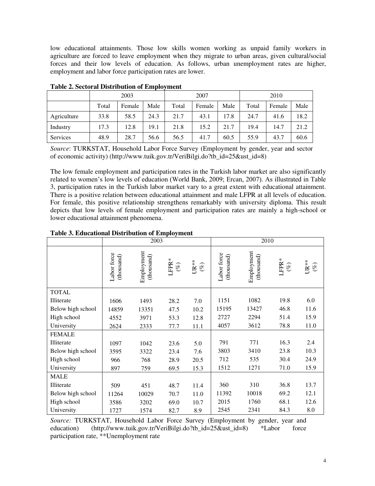low educational attainments. Those low skills women working as unpaid family workers in agriculture are forced to leave employment when they migrate to urban areas, given cultural/social forces and their low levels of education. As follows, urban unemployment rates are higher, employment and labor force participation rates are lower.

|             | 2003  |        |      |       | 2007   |      | 2010  |        |      |  |
|-------------|-------|--------|------|-------|--------|------|-------|--------|------|--|
|             | Total | Female | Male | Total | Female | Male | Total | Female | Male |  |
| Agriculture | 33.8  | 58.5   | 24.3 | 21.7  | 43.1   | 17.8 | 24.7  | 41.6   | 18.2 |  |
| Industry    | 17.3  | 12.8   | 19.1 | 21.8  | 15.2   | 21.7 | 19.4  | 14.7   | 21.2 |  |
| Services    | 48.9  | 28.7   | 56.6 | 56.5  | 41.7   | 60.5 | 55.9  | 43.7   | 60.6 |  |

**Table 2. Sectoral Distribution of Employment** 

*Source*: TURKSTAT, Household Labor Force Survey (Employment by gender, year and sector of economic activity) (http://www.tuik.gov.tr/VeriBilgi.do?tb\_id=25&ust\_id=8)

The low female employment and participation rates in the Turkish labor market are also significantly related to women's low levels of education (World Bank, 2009; Ercan, 2007). As illustrated in Table 3, participation rates in the Turkish labor market vary to a great extent with educational attainment. There is a positive relation between educational attainment and male LFPR at all levels of education. For female, this positive relationship strengthens remarkably with university diploma. This result depicts that low levels of female employment and participation rates are mainly a high-school or lower educational attainment phenomena.

|                   |                           | 2003                     |              |             | 2010                      |                          |                 |                  |
|-------------------|---------------------------|--------------------------|--------------|-------------|---------------------------|--------------------------|-----------------|------------------|
|                   | Labor force<br>(thousand) | Employment<br>(thousand) | LFPR* $(\%)$ | UR** $(\%)$ | Labor force<br>(thousand) | Employment<br>(thousand) | LFPR*<br>$(\%)$ | $UR**$<br>$(\%)$ |
| <b>TOTAL</b>      |                           |                          |              |             |                           |                          |                 |                  |
| Illiterate        | 1606                      | 1493                     | 28.2         | 7.0         | 1151                      | 1082                     | 19.8            | 6.0              |
| Below high school | 14859                     | 13351                    | 47.5         | 10.2        | 15195                     | 13427                    | 46.8            | 11.6             |
| High school       | 4552                      | 3971                     | 53.3         | 12.8        | 2727                      | 2294                     | 51.4            | 15.9             |
| University        | 2624                      | 2333                     | 77.7         | 11.1        | 4057                      | 3612                     | 78.8            | 11.0             |
| <b>FEMALE</b>     |                           |                          |              |             |                           |                          |                 |                  |
| Illiterate        | 1097                      | 1042                     | 23.6         | 5.0         | 791                       | 771                      | 16.3            | 2.4              |
| Below high school | 3595                      | 3322                     | 23.4         | 7.6         | 3803                      | 3410                     | 23.8            | 10.3             |
| High school       | 966                       | 768                      | 28.9         | 20.5        | 712                       | 535                      | 30.4            | 24.9             |
| University        | 897                       | 759                      | 69.5         | 15.3        | 1512                      | 1271                     | 71.0            | 15.9             |
| <b>MALE</b>       |                           |                          |              |             |                           |                          |                 |                  |
| Illiterate        | 509                       | 451                      | 48.7         | 11.4        | 360                       | 310                      | 36.8            | 13.7             |
| Below high school | 11264                     | 10029                    | 70.7         | 11.0        | 11392                     | 10018                    | 69.2            | 12.1             |
| High school       | 3586                      | 3202                     | 69.0         | 10.7        | 2015                      | 1760                     | 68.1            | 12.6             |
| University        | 1727                      | 1574                     | 82.7         | 8.9         | 2545                      | 2341                     | 84.3            | 8.0              |

## **Table 3. Educational Distribution of Employment**

*Source:* TURKSTAT, Household Labor Force Survey (Employment by gender, year and education) (http://www.tuik.gov.tr/VeriBilgi.do?tb\_id=25&ust\_id=8) \*Labor force participation rate, \*\*Unemployment rate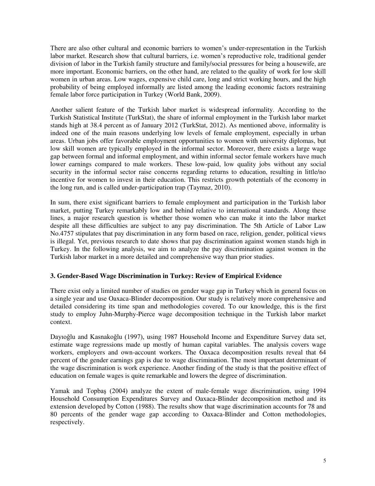There are also other cultural and economic barriers to women's under-representation in the Turkish labor market. Research show that cultural barriers, i.e. women's reproductive role, traditional gender division of labor in the Turkish family structure and family/social pressures for being a housewife, are more important. Economic barriers, on the other hand, are related to the quality of work for low skill women in urban areas. Low wages, expensive child care, long and strict working hours, and the high probability of being employed informally are listed among the leading economic factors restraining female labor force participation in Turkey (World Bank, 2009).

Another salient feature of the Turkish labor market is widespread informality. According to the Turkish Statistical Institute (TurkStat), the share of informal employment in the Turkish labor market stands high at 38.4 percent as of January 2012 (TurkStat, 2012). As mentioned above, informality is indeed one of the main reasons underlying low levels of female employment, especially in urban areas. Urban jobs offer favorable employment opportunities to women with university diplomas, but low skill women are typically employed in the informal sector. Moreover, there exists a large wage gap between formal and informal employment, and within informal sector female workers have much lower earnings compared to male workers. These low-paid, low quality jobs without any social security in the informal sector raise concerns regarding returns to education, resulting in little/no incentive for women to invest in their education. This restricts growth potentials of the economy in the long run, and is called under-participation trap (Taymaz, 2010).

In sum, there exist significant barriers to female employment and participation in the Turkish labor market, putting Turkey remarkably low and behind relative to international standards. Along these lines, a major research question is whether those women who can make it into the labor market despite all these difficulties are subject to any pay discrimination. The 5th Article of Labor Law No.4757 stipulates that pay discrimination in any form based on race, religion, gender, political views is illegal. Yet, previous research to date shows that pay discrimination against women stands high in Turkey. In the following analysis, we aim to analyze the pay discrimination against women in the Turkish labor market in a more detailed and comprehensive way than prior studies.

## **3. Gender-Based Wage Discrimination in Turkey: Review of Empirical Evidence**

There exist only a limited number of studies on gender wage gap in Turkey which in general focus on a single year and use Oaxaca-Blinder decomposition. Our study is relatively more comprehensive and detailed considering its time span and methodologies covered. To our knowledge, this is the first study to employ Juhn-Murphy-Pierce wage decomposition technique in the Turkish labor market context.

Dayıoğlu and Kasnakoğlu (1997), using 1987 Household Income and Expenditure Survey data set, estimate wage regressions made up mostly of human capital variables. The analysis covers wage workers, employers and own-account workers. The Oaxaca decomposition results reveal that 64 percent of the gender earnings gap is due to wage discrimination. The most important determinant of the wage discrimination is work experience. Another finding of the study is that the positive effect of education on female wages is quite remarkable and lowers the degree of discrimination.

Yamak and Topbaş (2004) analyze the extent of male-female wage discrimination, using 1994 Household Consumption Expenditures Survey and Oaxaca-Blinder decomposition method and its extension developed by Cotton (1988). The results show that wage discrimination accounts for 78 and 80 percents of the gender wage gap according to Oaxaca-Blinder and Cotton methodologies, respectively.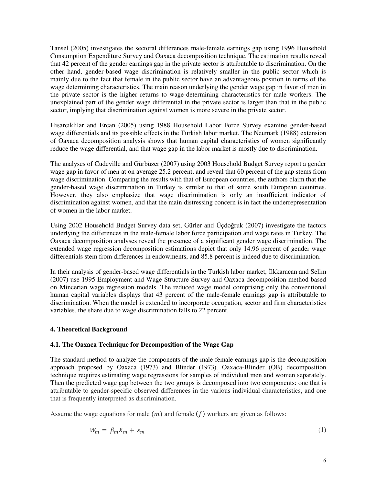Tansel (2005) investigates the sectoral differences male-female earnings gap using 1996 Household Consumption Expenditure Survey and Oaxaca decomposition technique. The estimation results reveal that 42 percent of the gender earnings gap in the private sector is attributable to discrimination. On the other hand, gender-based wage discrimination is relatively smaller in the public sector which is mainly due to the fact that female in the public sector have an advantageous position in terms of the wage determining characteristics. The main reason underlying the gender wage gap in favor of men in the private sector is the higher returns to wage-determining characteristics for male workers. The unexplained part of the gender wage differential in the private sector is larger than that in the public sector, implying that discrimination against women is more severe in the private sector.

Hisarcıklılar and Ercan (2005) using 1988 Household Labor Force Survey examine gender-based wage differentials and its possible effects in the Turkish labor market. The Neumark (1988) extension of Oaxaca decomposition analysis shows that human capital characteristics of women significantly reduce the wage differential, and that wage gap in the labor market is mostly due to discrimination.

The analyses of Cudeville and Gürbüzer (2007) using 2003 Household Budget Survey report a gender wage gap in favor of men at on average 25.2 percent, and reveal that 60 percent of the gap stems from wage discrimination. Comparing the results with that of European countries, the authors claim that the gender-based wage discrimination in Turkey is similar to that of some south European countries. However, they also emphasize that wage discrimination is only an insufficient indicator of discrimination against women, and that the main distressing concern is in fact the underrepresentation of women in the labor market.

Using 2002 Household Budget Survey data set, Gürler and Üçdoğruk (2007) investigate the factors underlying the differences in the male-female labor force participation and wage rates in Turkey. The Oaxaca decomposition analyses reveal the presence of a significant gender wage discrimination. The extended wage regression decomposition estimations depict that only 14.96 percent of gender wage differentials stem from differences in endowments, and 85.8 percent is indeed due to discrimination.

In their analysis of gender-based wage differentials in the Turkish labor market, İlkkaracan and Selim (2007) use 1995 Employment and Wage Structure Survey and Oaxaca decomposition method based on Mincerian wage regression models. The reduced wage model comprising only the conventional human capital variables displays that 43 percent of the male-female earnings gap is attributable to discrimination. When the model is extended to incorporate occupation, sector and firm characteristics variables, the share due to wage discrimination falls to 22 percent.

## **4. Theoretical Background**

## **4.1. The Oaxaca Technique for Decomposition of the Wage Gap**

The standard method to analyze the components of the male-female earnings gap is the decomposition approach proposed by Oaxaca (1973) and Blinder (1973). Oaxaca-Blinder (OB) decomposition technique requires estimating wage regressions for samples of individual men and women separately. Then the predicted wage gap between the two groups is decomposed into two components: one that is attributable to gender-specific observed differences in the various individual characteristics, and one that is frequently interpreted as discrimination.

Assume the wage equations for male  $(m)$  and female  $(f)$  workers are given as follows:

$$
W_m = \beta_m X_m + \varepsilon_m \tag{1}
$$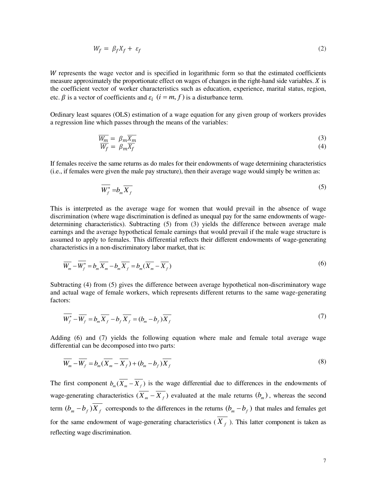$$
W_f = \beta_f X_f + \varepsilon_f \tag{2}
$$

W represents the wage vector and is specified in logarithmic form so that the estimated coefficients measure approximately the proportionate effect on wages of changes in the right-hand side variables.  $X$  is the coefficient vector of worker characteristics such as education, experience, marital status, region, etc.  $\beta$  is a vector of coefficients and  $\varepsilon_i$   $(i = m, f)$  is a disturbance term.

Ordinary least squares (OLS) estimation of a wage equation for any given group of workers provides a regression line which passes through the means of the variables:

$$
\frac{\overline{W_m}}{\overline{W_f}} = \beta_m \overline{X_m}
$$
\n(3)\n
$$
\overline{W_f} = \beta_m \overline{X_f}
$$
\n(4)

If females receive the same returns as do males for their endowments of wage determining characteristics (i.e., if females were given the male pay structure), then their average wage would simply be written as:

$$
\overline{W_f^*} = b_m \overline{X_f} \tag{5}
$$

This is interpreted as the average wage for women that would prevail in the absence of wage discrimination (where wage discrimination is defined as unequal pay for the same endowments of wagedetermining characteristics). Subtracting (5) from (3) yields the difference between average male earnings and the average hypothetical female earnings that would prevail if the male wage structure is assumed to apply to females. This differential reflects their different endowments of wage-generating characteristics in a non-discriminatory labor market, that is:

$$
\overline{W_m} - \overline{W_f^*} = b_m \overline{X_m} - b_m \overline{X_f} = b_m (\overline{X_m} - \overline{X_f})
$$
\n<sup>(6)</sup>

Subtracting (4) from (5) gives the difference between average hypothetical non-discriminatory wage and actual wage of female workers, which represents different returns to the same wage-generating factors:

$$
\overline{W_f^*} - \overline{W_f} = b_m \overline{X_f} - b_f \overline{X_f} = (b_m - b_f) \overline{X_f}
$$
\n<sup>(7)</sup>

Adding (6) and (7) yields the following equation where male and female total average wage differential can be decomposed into two parts:

$$
\overline{W_m} - \overline{W_f} = b_m (\overline{X_m} - \overline{X_f}) + (b_m - b_f) \overline{X_f}
$$
\n(8)

The first component  $b_m(\overline{X_m} - \overline{X_f})$  is the wage differential due to differences in the endowments of wage-generating characteristics  $(X_m - X_f)$  evaluated at the male returns  $(b_m)$ , whereas the second term  $(b_m - b_f)X_f$  corresponds to the differences in the returns  $(b_m - b_f)$  that males and females get for the same endowment of wage-generating characteristics  $(X_f)$ . This latter component is taken as reflecting wage discrimination.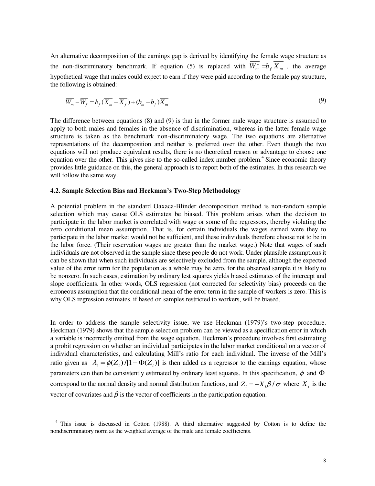An alternative decomposition of the earnings gap is derived by identifying the female wage structure as the non-discriminatory benchmark. If equation (5) is replaced with  $W_m^* = b_f X_m$ , the average hypothetical wage that males could expect to earn if they were paid according to the female pay structure, the following is obtained:

$$
\overline{W_m} - \overline{W_f} = b_f (\overline{X_m} - \overline{X_f}) + (b_m - b_f) \overline{X_m}
$$
\n(9)

The difference between equations (8) and (9) is that in the former male wage structure is assumed to apply to both males and females in the absence of discrimination, whereas in the latter female wage structure is taken as the benchmark non-discriminatory wage. The two equations are alternative representations of the decomposition and neither is preferred over the other. Even though the two equations will not produce equivalent results, there is no theoretical reason or advantage to choose one equation over the other. This gives rise to the so-called index number problem.<sup>4</sup> Since economic theory provides little guidance on this, the general approach is to report both of the estimates. In this research we will follow the same way.

#### **4.2. Sample Selection Bias and Heckman's Two-Step Methodology**

 $\overline{a}$ 

A potential problem in the standard Oaxaca-Blinder decomposition method is non-random sample selection which may cause OLS estimates be biased. This problem arises when the decision to participate in the labor market is correlated with wage or some of the regressors, thereby violating the zero conditional mean assumption. That is, for certain individuals the wages earned were they to participate in the labor market would not be sufficient, and these individuals therefore choose not to be in the labor force. (Their reservation wages are greater than the market wage.) Note that wages of such individuals are not observed in the sample since these people do not work. Under plausible assumptions it can be shown that when such individuals are selectively excluded from the sample, although the expected value of the error term for the population as a whole may be zero, for the observed sample it is likely to be nonzero. In such cases, estimation by ordinary lest squares yields biased estimates of the intercept and slope coefficients. In other words, OLS regression (not corrected for selectivity bias) proceeds on the erroneous assumption that the conditional mean of the error term in the sample of workers is zero. This is why OLS regression estimates, if based on samples restricted to workers, will be biased.

In order to address the sample selectivity issue, we use Heckman (1979)'s two-step procedure. Heckman (1979) shows that the sample selection problem can be viewed as a specification error in which a variable is incorrectly omitted from the wage equation. Heckman's procedure involves first estimating a probit regression on whether an individual participates in the labor market conditional on a vector of individual characteristics, and calculating Mill's ratio for each individual. The inverse of the Mill's ratio given as  $\lambda_i = \phi(Z_i) / [1 - \Phi(Z_i)]$  is then added as a regressor to the earnings equation, whose parameters can then be consistently estimated by ordinary least squares. In this specification,  $\phi$  and  $\Phi$ correspond to the normal density and normal distribution functions, and  $Z_i = -X_i \beta / \sigma$  where  $X_i$  is the vector of covariates and  $\beta$  is the vector of coefficients in the participation equation.

<sup>4</sup> This issue is discussed in Cotton (1988). A third alternative suggested by Cotton is to define the nondiscriminatory norm as the weighted average of the male and female coefficients.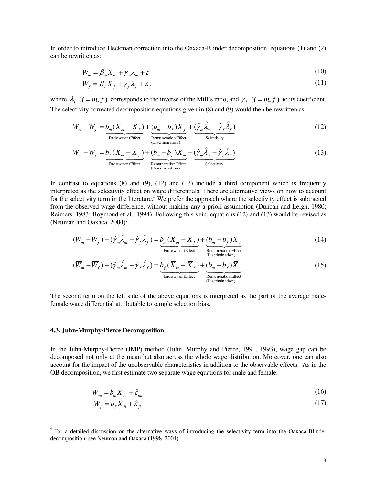In order to introduce Heckman correction into the Oaxaca-Blinder decomposition, equations (1) and (2) can be rewritten as:

$$
W_m = \beta_m X_m + \gamma_m \lambda_m + \varepsilon_m \tag{10}
$$

$$
W_f = \beta_f X_f + \gamma_f \lambda_f + \varepsilon_f \tag{11}
$$

where  $\lambda_i$  ( $i = m, f$ ) corresponds to the inverse of the Mill's ratio, and  $\gamma_i$  ( $i = m, f$ ) to its coefficient. The selectivity corrected decomposition equations given in (8) and (9) would then be rewritten as:

$$
\overline{W}_m - \overline{W}_f = \underbrace{b_m(\overline{X}_m - \overline{X}_f)}_{\text{EndowmentEffect}} + \underbrace{(b_m - b_f)\overline{X}_f}_{\text{Remuneration Effect}} + \underbrace{(\hat{\gamma}_m \hat{\lambda}_m - \hat{\gamma}_f \hat{\lambda}_f)}_{\text{Selection Effectivity}}
$$
(12)

$$
\overline{W}_m - \overline{W}_f = \underbrace{b_f (\overline{X}_m - \overline{X}_f)}_{\text{EndowmentEffect}} + \underbrace{(b_m - b_f) \overline{X}_m}_{\text{Remuneration Effect}} + \underbrace{(\hat{\gamma}_m \hat{\lambda}_m - \hat{\gamma}_f \hat{\lambda}_f)}_{\text{Selection
$$

In contrast to equations  $(8)$  and  $(9)$ ,  $(12)$  and  $(13)$  include a third component which is frequently interpreted as the selectivity effect on wage differentials. There are alternative views on how to account for the selectivity term in the literature.<sup>5</sup> We prefer the approach where the selectivity effect is subtracted from the observed wage difference, without making any a priori assumption (Duncan and Leigh, 1980; Reimers, 1983; Boymond et al., 1994). Following this vein, equations (12) and (13) would be revised as (Neuman and Oaxaca, 2004):

$$
(\overline{W}_m - \overline{W}_f) - (\hat{\gamma}_m \hat{\lambda}_m - \hat{\gamma}_f \hat{\lambda}_f) = \underbrace{b_m (\overline{X}_m - \overline{X}_f)}_{\text{Endownent Effect}} + \underbrace{(b_m - b_f) \overline{X}_f}_{\text{Remuneration Effect}}
$$
(14)

(Discrimination)

$$
(\overline{W}_m - \overline{W}_f) - (\hat{\gamma}_m \hat{\lambda}_m - \hat{\gamma}_f \hat{\lambda}_f) = \underbrace{b_f (\overline{X}_m - \overline{X}_f)}_{\text{EndowmentEffect}} + \underbrace{(b_m - b_f) \overline{X}_m}_{\text{Remuneration Effect}} \tag{15}
$$

The second term on the left side of the above equations is interpreted as the part of the average malefemale wage differential attributable to sample selection bias.

#### **4.3. Juhn-Murphy-Pierce Decomposition**

In the Juhn-Murphy-Pierce (JMP) method (Juhn, Murphy and Pierce, 1991, 1993), wage gap can be decomposed not only at the mean but also across the whole wage distribution. Moreover, one can also account for the impact of the unobservable characteristics in addition to the observable effects. As in the OB decomposition, we first estimate two separate wage equations for male and female:

$$
W_{mi} = b_m X_{mi} + \hat{\varepsilon}_{mi} \tag{16}
$$

$$
W_{\hat{\mu}} = b_f X_{\hat{\mu}} + \hat{\varepsilon}_{\hat{\mu}} \tag{17}
$$

<sup>&</sup>lt;sup>5</sup> For a detailed discussion on the alternative ways of introducing the selectivity term into the Oaxaca-Blinder decomposition, see Neuman and Oaxaca (1998, 2004).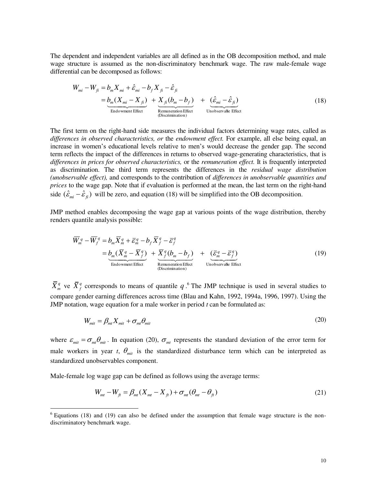The dependent and independent variables are all defined as in the OB decomposition method, and male wage structure is assumed as the non-discriminatory benchmark wage. The raw male-female wage differential can be decomposed as follows:

$$
W_{mi} - W_{fi} = b_m X_{mi} + \hat{\varepsilon}_{mi} - b_f X_{fi} - \hat{\varepsilon}_{fi}
$$
  
= 
$$
\underbrace{b_m (X_{mi} - X_{fi})}_{\text{Endowment Effect}} + \underbrace{X_{fi} (b_m - b_f)}_{\text{Remuneration Effect}} + \underbrace{(\hat{\varepsilon}_{mi} - \hat{\varepsilon}_{fi})}_{\text{Unobservable Effect}}
$$
(18)

The first term on the right-hand side measures the individual factors determining wage rates, called as *differences in observed characteristics, or* the *endowment effect.* For example, all else being equal, an increase in women's educational levels relative to men's would decrease the gender gap. The second term reflects the impact of the differences in returns to observed wage-generating characteristics, that is *differences in prices for observed characteristics,* or the *remuneration effect.* It is frequently interpreted as discrimination. The third term represents the differences in the *residual wage distribution (unobservable effect),* and corresponds to the contribution of *differences in unobservable quantities and prices* to the wage gap. Note that if evaluation is performed at the mean, the last term on the right-hand side  $(\hat{\varepsilon}_{mi} - \hat{\varepsilon}_n)$  will be zero, and equation (18) will be simplified into the OB decomposition.

JMP method enables decomposing the wage gap at various points of the wage distribution, thereby renders quantile analysis possible:

$$
\overline{W}_m^q - \overline{W}_f^q = b_m \overline{X}_m^q + \overline{\varepsilon}_m^q - b_f \overline{X}_f^q - \overline{\varepsilon}_f^q
$$
\n
$$
= \underbrace{b_m (\overline{X}_m^q - \overline{X}_f^q)}_{\text{Endowment Effect}} + \underbrace{\overline{X}_f^q (b_m - b_f)}_{\text{Remuneration Effect}} + \underbrace{(\overline{\varepsilon}_m^q - \overline{\varepsilon}_f^q)}_{\text{Unobservable Effect}}
$$
\n(19)

 $\bar{X}_m^q$  ve  $\bar{X}_f^q$  corresponds to means of quantile *q* .<sup>6</sup> The JMP technique is used in several studies to compare gender earning differences across time (Blau and Kahn, 1992, 1994a, 1996, 1997). Using the JMP notation, wage equation for a male worker in period *t* can be formulated as:

$$
W_{mit} = \beta_{mt} X_{mit} + \sigma_{mt} \theta_{mit}
$$
 (20)

where  $\varepsilon_{mit} = \sigma_{mt} \theta_{mit}$ . In equation (20),  $\sigma_{mt}$  represents the standard deviation of the error term for male workers in year *t*,  $\theta_{mit}$  is the standardized disturbance term which can be interpreted as standardized unobservables component.

Male-female log wage gap can be defined as follows using the average terms:

$$
W_{mt} - W_{ft} = \beta_{mt} (X_{mt} - X_{ft}) + \sigma_{mt} (\theta_{mt} - \theta_{ft})
$$
\n(21)

<sup>&</sup>lt;sup>6</sup> Equations (18) and (19) can also be defined under the assumption that female wage structure is the nondiscriminatory benchmark wage.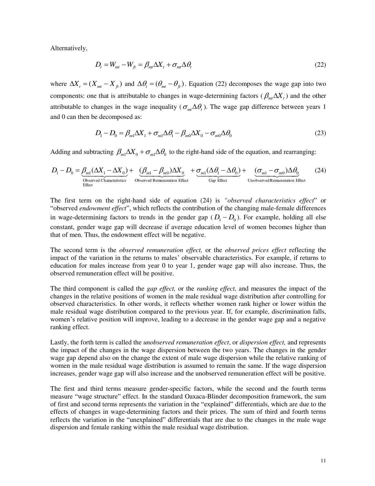Alternatively,

$$
D_t = W_{mt} - W_{ft} = \beta_{mt} \Delta X_t + \sigma_{mt} \Delta \theta_t
$$
\n(22)

where  $\Delta X_t = (X_{mt} - X_t)$  and  $\Delta \theta_t = (\theta_{mt} - \theta_t)$ . Equation (22) decomposes the wage gap into two components: one that is attributable to changes in wage-determining factors ( $\beta_{mt}\Delta X_t$ ) and the other attributable to changes in the wage inequality ( $\sigma_{m} \Delta \theta_t$ ). The wage gap difference between years 1 and 0 can then be decomposed as:

$$
D_1 - D_0 = \beta_{m1} \Delta X_1 + \sigma_{m1} \Delta \theta_1 - \beta_{m0} \Delta X_0 - \sigma_{m0} \Delta \theta_0
$$
\n(23)

Adding and subtracting  $\beta_{m1}\Delta X_0 + \sigma_{m1}\Delta\theta_0$  to the right-hand side of the equation, and rearranging:

$$
D_1 - D_0 = \underbrace{\beta_{m1}(\Delta X_1 - \Delta X_0)}_{\text{Observed Characteristics}} + \underbrace{(\beta_{m1} - \beta_{m0})\Delta X_0}_{\text{Observed Renuneration Effect}} + \underbrace{\sigma_{m1}(\Delta \theta_1 - \Delta \theta_0)}_{\text{Gap Effect}} + \underbrace{(\sigma_{m1} - \sigma_{m0})\Delta \theta_0}_{\text{Unobserved Remuneration Effect}}
$$
(24)

The first term on the right-hand side of equation (24) is *"observed characteristics effect*" or "observed *endowment effect*", which reflects the contribution of the changing male-female differences in wage-determining factors to trends in the gender gap  $(D_1 - D_0)$ . For example, holding all else constant, gender wage gap will decrease if average education level of women becomes higher than that of men. Thus, the endowment effect will be negative.

The second term is the *observed remuneration effect,* or the *observed prices effect* reflecting the impact of the variation in the returns to males' observable characteristics. For example, if returns to education for males increase from year 0 to year 1, gender wage gap will also increase. Thus, the observed remuneration effect will be positive.

The third component is called the *gap effect,* or the *ranking effect,* and measures the impact of the changes in the relative positions of women in the male residual wage distribution after controlling for observed characteristics. In other words, it reflects whether women rank higher or lower within the male residual wage distribution compared to the previous year. If, for example, discrimination falls, women's relative position will improve, leading to a decrease in the gender wage gap and a negative ranking effect.

Lastly, the forth term is called the *unobserved remuneration effect*, or *dispersion effect,* and represents the impact of the changes in the wage dispersion between the two years. The changes in the gender wage gap depend also on the change the extent of male wage dispersion while the relative ranking of women in the male residual wage distribution is assumed to remain the same. If the wage dispersion increases, gender wage gap will also increase and the unobserved remuneration effect will be positive.

The first and third terms measure gender-specific factors, while the second and the fourth terms measure "wage structure" effect. In the standard Oaxaca-Blinder decomposition framework, the sum of first and second terms represents the variation in the "explained" differentials, which are due to the effects of changes in wage-determining factors and their prices. The sum of third and fourth terms reflects the variation in the "unexplained" differentials that are due to the changes in the male wage dispersion and female ranking within the male residual wage distribution.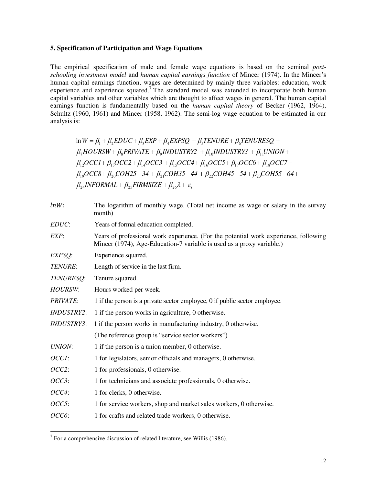#### **5. Specification of Participation and Wage Equations**

The empirical specification of male and female wage equations is based on the seminal *postschooling investment model* and *human capital earnings function* of Mincer (1974). In the Mincer's human capital earnings function, wages are determined by mainly three variables: education, work experience and experience squared.<sup>7</sup> The standard model was extended to incorporate both human capital variables and other variables which are thought to affect wages in general. The human capital earnings function is fundamentally based on the *human capital theory* of Becker (1962, 1964), Schultz (1960, 1961) and Mincer (1958, 1962). The semi-log wage equation to be estimated in our analysis is:

 $\beta_{24}$ *INFORMAL* +  $\beta_{25}$ *FIRMSIZE* +  $\beta_{26}$  $\lambda$  +  $\varepsilon_i$  $\beta_{19}OCC8 + \beta_{20} COH25 - 34 + \beta_{21} COH35 - 44 + \beta_{22} COH45 - 54 + \beta_{23} COH55 - 64 +$  $\beta_{12}OCCl + \beta_{13}OCC2 + \beta_{14}OCC3 + \beta_{15}OCC4 + \beta_{16}OCC5 + \beta_{17}OCC6 + \beta_{18}OCC7 +$  $\beta_7 HOURSW + \beta_8 PRIVATE + \beta_9 INDUSTRY2 + \beta_{10} INDUSTRY3 + \beta_{11} UNION +$  $\ln W = \beta_1 + \beta_2 EDUC + \beta_3 EXP + \beta_4 EXPSQ + \beta_5 TENURE + \beta_6 TENURESQ +$ 

| $lnW$ :           | The logarithm of monthly wage. (Total net income as wage or salary in the survey<br>month)                                                                    |
|-------------------|---------------------------------------------------------------------------------------------------------------------------------------------------------------|
| EDUC:             | Years of formal education completed.                                                                                                                          |
| EXP:              | Years of professional work experience. (For the potential work experience, following<br>Mincer (1974), Age-Education-7 variable is used as a proxy variable.) |
| EXPSQ:            | Experience squared.                                                                                                                                           |
| TENURE:           | Length of service in the last firm.                                                                                                                           |
| TENURESQ:         | Tenure squared.                                                                                                                                               |
| <b>HOURSW:</b>    | Hours worked per week.                                                                                                                                        |
| <b>PRIVATE:</b>   | 1 if the person is a private sector employee, 0 if public sector employee.                                                                                    |
| <b>INDUSTRY2:</b> | 1 if the person works in agriculture, 0 otherwise.                                                                                                            |
| <b>INDUSTRY3:</b> | 1 if the person works in manufacturing industry, 0 otherwise.                                                                                                 |
|                   | (The reference group is "service sector workers")                                                                                                             |
| <b>UNION:</b>     | 1 if the person is a union member, 0 otherwise.                                                                                                               |
| OCCI:             | 1 for legislators, senior officials and managers, 0 otherwise.                                                                                                |
| OCC2:             | 1 for professionals, 0 otherwise.                                                                                                                             |
| $OCC3$ :          | 1 for technicians and associate professionals, 0 otherwise.                                                                                                   |
| OCC4:             | 1 for clerks, 0 otherwise.                                                                                                                                    |
| $OCC5$ :          | 1 for service workers, shop and market sales workers, 0 otherwise.                                                                                            |
| OCC6:             | 1 for crafts and related trade workers, 0 otherwise.                                                                                                          |

 7 For a comprehensive discussion of related literature, see Willis (1986).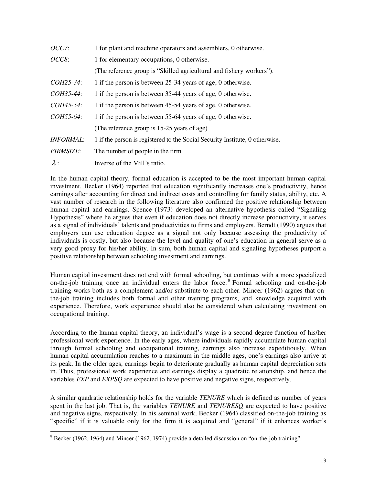| OCC7:            | 1 for plant and machine operators and assemblers, 0 otherwise.               |
|------------------|------------------------------------------------------------------------------|
| OCC8:            | 1 for elementary occupations, 0 otherwise.                                   |
|                  | (The reference group is "Skilled agricultural and fishery workers").         |
| COH25-34:        | 1 if the person is between 25-34 years of age, 0 otherwise.                  |
| COH35-44:        | 1 if the person is between 35-44 years of age, 0 otherwise.                  |
| COH45-54:        | 1 if the person is between 45-54 years of age, 0 otherwise.                  |
| COH55-64:        | 1 if the person is between 55-64 years of age, 0 otherwise.                  |
|                  | (The reference group is 15-25 years of age)                                  |
| <b>INFORMAL:</b> | 1 if the person is registered to the Social Security Institute, 0 otherwise. |
| <b>FIRMSIZE:</b> | The number of people in the firm.                                            |
| $\lambda$ :      | Inverse of the Mill's ratio.                                                 |

In the human capital theory, formal education is accepted to be the most important human capital investment. Becker (1964) reported that education significantly increases one's productivity, hence earnings after accounting for direct and indirect costs and controlling for family status, ability, etc. A vast number of research in the following literature also confirmed the positive relationship between human capital and earnings. Spence (1973) developed an alternative hypothesis called "Signaling Hypothesis" where he argues that even if education does not directly increase productivity, it serves as a signal of individuals' talents and productivities to firms and employers. Berndt (1990) argues that employers can use education degree as a signal not only because assessing the productivity of individuals is costly, but also because the level and quality of one's education in general serve as a very good proxy for his/her ability. In sum, both human capital and signaling hypotheses purport a positive relationship between schooling investment and earnings.

Human capital investment does not end with formal schooling, but continues with a more specialized on-the-job training once an individual enters the labor force.<sup>8</sup> Formal schooling and on-the-job training works both as a complement and/or substitute to each other. Mincer (1962) argues that onthe-job training includes both formal and other training programs, and knowledge acquired with experience. Therefore, work experience should also be considered when calculating investment on occupational training.

According to the human capital theory, an individual's wage is a second degree function of his/her professional work experience. In the early ages, where individuals rapidly accumulate human capital through formal schooling and occupational training, earnings also increase expeditiously. When human capital accumulation reaches to a maximum in the middle ages, one's earnings also arrive at its peak. In the older ages, earnings begin to deteriorate gradually as human capital depreciation sets in. Thus, professional work experience and earnings display a quadratic relationship, and hence the variables *EXP* and *EXPSQ* are expected to have positive and negative signs, respectively.

A similar quadratic relationship holds for the variable *TENURE* which is defined as number of years spent in the last job. That is, the variables *TENURE* and *TENURESQ* are expected to have positive and negative signs, respectively. In his seminal work, Becker (1964) classified on-the-job training as "specific" if it is valuable only for the firm it is acquired and "general" if it enhances worker's

 $\overline{a}$ 

 $8$  Becker (1962, 1964) and Mincer (1962, 1974) provide a detailed discussion on "on-the-job training".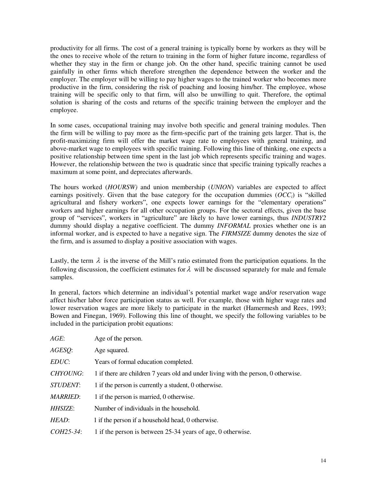productivity for all firms. The cost of a general training is typically borne by workers as they will be the ones to receive whole of the return to training in the form of higher future income, regardless of whether they stay in the firm or change job. On the other hand, specific training cannot be used gainfully in other firms which therefore strengthen the dependence between the worker and the employer. The employer will be willing to pay higher wages to the trained worker who becomes more productive in the firm, considering the risk of poaching and loosing him/her. The employee, whose training will be specific only to that firm, will also be unwilling to quit. Therefore, the optimal solution is sharing of the costs and returns of the specific training between the employer and the employee.

In some cases, occupational training may involve both specific and general training modules. Then the firm will be willing to pay more as the firm-specific part of the training gets larger. That is, the profit-maximizing firm will offer the market wage rate to employees with general training, and above-market wage to employees with specific training. Following this line of thinking, one expects a positive relationship between time spent in the last job which represents specific training and wages. However, the relationship between the two is quadratic since that specific training typically reaches a maximum at some point, and depreciates afterwards.

The hours worked (*HOURSW)* and union membership (*UNION*) variables are expected to affect earnings positively. Given that the base category for the occupation dummies  $(OCC_i)$  is "skilled" agricultural and fishery workers", one expects lower earnings for the "elementary operations" workers and higher earnings for all other occupation groups. For the sectoral effects, given the base group of "services", workers in "agriculture" are likely to have lower earnings, thus *INDUSTRY2*  dummy should display a negative coefficient. The dummy *INFORMAL* proxies whether one is an informal worker, and is expected to have a negative sign. The *FIRMSIZE* dummy denotes the size of the firm, and is assumed to display a positive association with wages.

Lastly, the term  $\lambda$  is the inverse of the Mill's ratio estimated from the participation equations. In the following discussion, the coefficient estimates for  $\lambda$  will be discussed separately for male and female samples.

In general, factors which determine an individual's potential market wage and/or reservation wage affect his/her labor force participation status as well. For example, those with higher wage rates and lower reservation wages are more likely to participate in the market (Hamermesh and Rees, 1993; Bowen and Finegan, 1969). Following this line of thought, we specify the following variables to be included in the participation probit equations:

| AGE:            | Age of the person.                                                                 |
|-----------------|------------------------------------------------------------------------------------|
| AGESQ:          | Age squared.                                                                       |
| EDUC:           | Years of formal education completed.                                               |
| <b>CHYOUNG:</b> | 1 if there are children 7 years old and under living with the person, 0 otherwise. |
| <i>STUDENT:</i> | 1 if the person is currently a student, 0 otherwise.                               |
| <b>MARRIED:</b> | 1 if the person is married, 0 otherwise.                                           |
| HHSIZE:         | Number of individuals in the household.                                            |
| HEAD:           | 1 if the person if a household head, 0 otherwise.                                  |
| $COH25-34$ :    | 1 if the person is between 25-34 years of age, 0 otherwise.                        |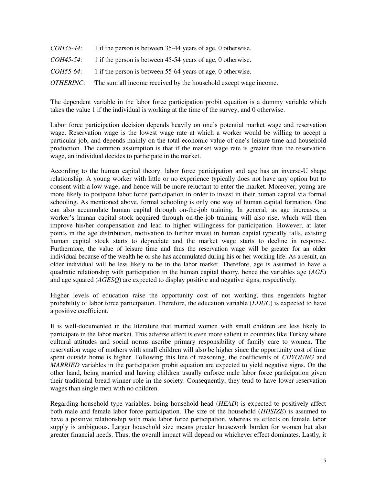| <i>COH35-44:</i>  | 1 if the person is between 35-44 years of age, 0 otherwise.      |
|-------------------|------------------------------------------------------------------|
| <i>COH45-54:</i>  | 1 if the person is between 45-54 years of age, 0 otherwise.      |
| <i>COH55-64</i> : | 1 if the person is between 55-64 years of age, 0 otherwise.      |
| <i>OTHERINC:</i>  | The sum all income received by the household except wage income. |

The dependent variable in the labor force participation probit equation is a dummy variable which takes the value 1 if the individual is working at the time of the survey, and 0 otherwise.

Labor force participation decision depends heavily on one's potential market wage and reservation wage. Reservation wage is the lowest wage rate at which a worker would be willing to accept a particular job, and depends mainly on the total economic value of one's leisure time and household production. The common assumption is that if the market wage rate is greater than the reservation wage, an individual decides to participate in the market.

According to the human capital theory, labor force participation and age has an inverse-U shape relationship. A young worker with little or no experience typically does not have any option but to consent with a low wage, and hence will be more reluctant to enter the market. Moreover, young are more likely to postpone labor force participation in order to invest in their human capital via formal schooling. As mentioned above, formal schooling is only one way of human capital formation. One can also accumulate human capital through on-the-job training. In general, as age increases, a worker's human capital stock acquired through on-the-job training will also rise, which will then improve his/her compensation and lead to higher willingness for participation. However, at later points in the age distribution, motivation to further invest in human capital typically falls, existing human capital stock starts to depreciate and the market wage starts to decline in response. Furthermore, the value of leisure time and thus the reservation wage will be greater for an older individual because of the wealth he or she has accumulated during his or her working life. As a result, an older individual will be less likely to be in the labor market. Therefore, age is assumed to have a quadratic relationship with participation in the human capital theory, hence the variables age (*AGE*) and age squared (*AGESQ*) are expected to display positive and negative signs, respectively.

Higher levels of education raise the opportunity cost of not working, thus engenders higher probability of labor force participation. Therefore, the education variable (*EDUC*) is expected to have a positive coefficient.

It is well-documented in the literature that married women with small children are less likely to participate in the labor market. This adverse effect is even more salient in countries like Turkey where cultural attitudes and social norms ascribe primary responsibility of family care to women. The reservation wage of mothers with small children will also be higher since the opportunity cost of time spent outside home is higher. Following this line of reasoning, the coefficients of *CHYOUNG* and *MARRIED* variables in the participation probit equation are expected to yield negative signs. On the other hand, being married and having children usually enforce male labor force participation given their traditional bread-winner role in the society. Consequently, they tend to have lower reservation wages than single men with no children.

Regarding household type variables, being household head (*HEAD*) is expected to positively affect both male and female labor force participation. The size of the household (*HHSIZE*) is assumed to have a positive relationship with male labor force participation, whereas its effects on female labor supply is ambiguous. Larger household size means greater housework burden for women but also greater financial needs. Thus, the overall impact will depend on whichever effect dominates. Lastly, it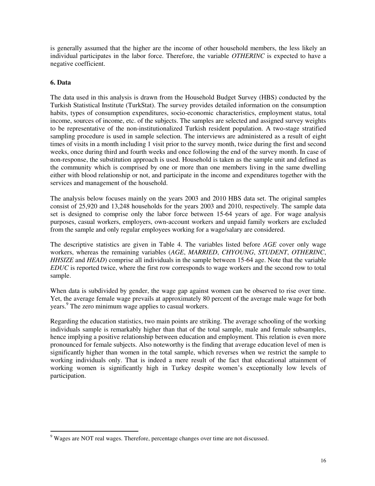is generally assumed that the higher are the income of other household members, the less likely an individual participates in the labor force. Therefore, the variable *OTHERINC* is expected to have a negative coefficient.

## **6. Data**

 $\overline{a}$ 

The data used in this analysis is drawn from the Household Budget Survey (HBS) conducted by the Turkish Statistical Institute (TurkStat). The survey provides detailed information on the consumption habits, types of consumption expenditures, socio-economic characteristics, employment status, total income, sources of income, etc. of the subjects. The samples are selected and assigned survey weights to be representative of the non-institutionalized Turkish resident population. A two-stage stratified sampling procedure is used in sample selection. The interviews are administered as a result of eight times of visits in a month including 1 visit prior to the survey month, twice during the first and second weeks, once during third and fourth weeks and once following the end of the survey month. In case of non-response, the substitution approach is used. Household is taken as the sample unit and defined as the community which is comprised by one or more than one members living in the same dwelling either with blood relationship or not, and participate in the income and expenditures together with the services and management of the household.

The analysis below focuses mainly on the years 2003 and 2010 HBS data set. The original samples consist of 25,920 and 13,248 households for the years 2003 and 2010, respectively. The sample data set is designed to comprise only the labor force between 15-64 years of age. For wage analysis purposes, casual workers, employers, own-account workers and unpaid family workers are excluded from the sample and only regular employees working for a wage/salary are considered.

The descriptive statistics are given in Table 4. The variables listed before *AGE* cover only wage workers, whereas the remaining variables (*AGE*, *MARRIED*, *CHYOUNG*, *STUDENT*, *OTHERINC*, *HHSIZE* and *HEAD*) comprise all individuals in the sample between 15-64 age. Note that the variable *EDUC* is reported twice, where the first row corresponds to wage workers and the second row to total sample.

When data is subdivided by gender, the wage gap against women can be observed to rise over time. Yet, the average female wage prevails at approximately 80 percent of the average male wage for both years.<sup>9</sup> The zero minimum wage applies to casual workers.

Regarding the education statistics, two main points are striking. The average schooling of the working individuals sample is remarkably higher than that of the total sample, male and female subsamples, hence implying a positive relationship between education and employment. This relation is even more pronounced for female subjects. Also noteworthy is the finding that average education level of men is significantly higher than women in the total sample, which reverses when we restrict the sample to working individuals only. That is indeed a mere result of the fact that educational attainment of working women is significantly high in Turkey despite women's exceptionally low levels of participation.

<sup>&</sup>lt;sup>9</sup> Wages are NOT real wages. Therefore, percentage changes over time are not discussed.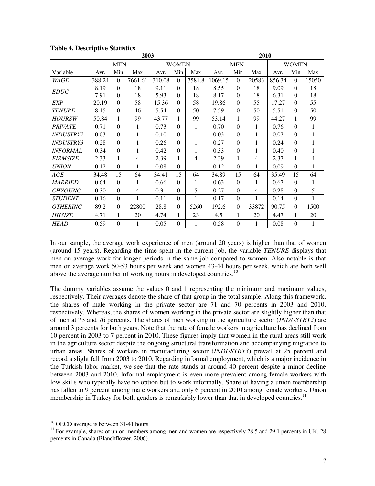|                         | 2003   |            |         |        |              |                | 2010       |          |                |        |              |                |
|-------------------------|--------|------------|---------|--------|--------------|----------------|------------|----------|----------------|--------|--------------|----------------|
|                         |        | <b>MEN</b> |         |        | <b>WOMEN</b> |                | <b>MEN</b> |          |                |        | <b>WOMEN</b> |                |
| Variable                | Avr.   | Min        | Max     | Avr.   | Min          | Max            | Avr.       | Min      | Max            | Avr.   | Min          | Max            |
| WAGE                    | 388.24 | $\Omega$   | 7661.61 | 310.08 | $\Omega$     | 7581.8         | 1069.15    | $\Omega$ | 20583          | 856.34 | $\Omega$     | 15050          |
| <b>EDUC</b>             | 8.19   | $\Omega$   | 18      | 9.11   | $\Omega$     | 18             | 8.55       | $\Omega$ | 18             | 9.09   | $\Omega$     | 18             |
|                         | 7.91   | $\Omega$   | 18      | 5.93   | $\Omega$     | 18             | 8.17       | $\Omega$ | 18             | 6.31   | $\Omega$     | 18             |
| <b>EXP</b>              | 20.19  | $\Omega$   | 58      | 15.36  | $\Omega$     | 58             | 19.86      | $\Omega$ | 55             | 17.27  | $\Omega$     | 55             |
| <b>TENURE</b>           | 8.15   | $\Omega$   | 46      | 5.54   | $\Omega$     | 50             | 7.59       | $\theta$ | 50             | 5.51   | $\Omega$     | 50             |
| <b>HOURSW</b>           | 50.84  | 1          | 99      | 43.77  | 1            | 99             | 53.14      | 1        | 99             | 44.27  | 1            | 99             |
| <b>PRIVATE</b>          | 0.71   | $\Omega$   | 1       | 0.73   | $\Omega$     | 1              | 0.70       | $\Omega$ | 1              | 0.76   | $\Omega$     | 1              |
| <i><b>INDUSTRY2</b></i> | 0.03   | $\Omega$   | 1       | 0.10   | $\Omega$     | 1              | 0.03       | $\theta$ | 1              | 0.07   | $\Omega$     | 1              |
| <b>INDUSTRY3</b>        | 0.28   | $\Omega$   | 1       | 0.26   | $\Omega$     | 1              | 0.27       | $\theta$ | 1              | 0.24   | $\Omega$     | 1              |
| <b>INFORMAL</b>         | 0.34   | $\Omega$   | 1       | 0.42   | $\Omega$     | $\mathbf{1}$   | 0.33       | $\Omega$ | 1              | 0.40   | $\Omega$     | 1              |
| <b>FIRMSIZE</b>         | 2.33   | 1          | 4       | 2.39   | 1            | $\overline{4}$ | 2.39       | 1        | $\overline{4}$ | 2.37   |              | $\overline{4}$ |
| <i>UNION</i>            | 0.12   | $\Omega$   | 1       | 0.08   | $\Omega$     | 1              | 0.12       | $\theta$ | 1              | 0.09   | $\Omega$     | 1              |
| AGE                     | 34.48  | 15         | 64      | 34.41  | 15           | 64             | 34.89      | 15       | 64             | 35.49  | 15           | 64             |
| <b>MARRIED</b>          | 0.64   | $\Omega$   | 1       | 0.66   | $\Omega$     | 1              | 0.63       | $\Omega$ | 1              | 0.67   | $\Omega$     | 1              |
| <b>CHYOUNG</b>          | 0.30   | $\Omega$   | 4       | 0.31   | $\Omega$     | 5              | 0.27       | $\theta$ | $\overline{4}$ | 0.28   | $\Omega$     | 5              |
| <b>STUDENT</b>          | 0.16   | $\Omega$   | 1       | 0.11   | $\Omega$     | 1              | 0.17       | $\theta$ | 1              | 0.14   | $\Omega$     | $\mathbf{1}$   |
| <b>OTHERINC</b>         | 89.2   | $\Omega$   | 22800   | 28.8   | $\Omega$     | 5260           | 192.6      | $\Omega$ | 33872          | 90.75  | $\Omega$     | 1500           |
| <i><b>HHSIZE</b></i>    | 4.71   | 1          | 20      | 4.74   | 1            | 23             | 4.5        | 1        | 20             | 4.47   | 1            | 20             |
| <b>HEAD</b>             | 0.59   | $\Omega$   | 1       | 0.05   | $\Omega$     | 1              | 0.58       | $\Omega$ | 1              | 0.08   | $\Omega$     | 1              |

**Table 4. Descriptive Statistics** 

In our sample, the average work experience of men (around 20 years) is higher than that of women (around 15 years). Regarding the time spent in the current job, the variable *TENURE* displays that men on average work for longer periods in the same job compared to women. Also notable is that men on average work 50-53 hours per week and women 43-44 hours per week, which are both well above the average number of working hours in developed countries.<sup>10</sup>

The dummy variables assume the values 0 and 1 representing the minimum and maximum values, respectively. Their averages denote the share of that group in the total sample. Along this framework, the shares of male working in the private sector are 71 and 70 percents in 2003 and 2010, respectively. Whereas, the shares of women working in the private sector are slightly higher than that of men at 73 and 76 percents. The shares of men working in the agriculture sector (*INDUSTRY2*) are around 3 percents for both years. Note that the rate of female workers in agriculture has declined from 10 percent in 2003 to 7 percent in 2010. These figures imply that women in the rural areas still work in the agriculture sector despite the ongoing structural transformation and accompanying migration to urban areas. Shares of workers in manufacturing sector (*INDUSTRY3*) prevail at 25 percent and record a slight fall from 2003 to 2010. Regarding informal employment, which is a major incidence in the Turkish labor market, we see that the rate stands at around 40 percent despite a minor decline between 2003 and 2010. Informal employment is even more prevalent among female workers with low skills who typically have no option but to work informally. Share of having a union membership has fallen to 9 percent among male workers and only 6 percent in 2010 among female workers. Union membership in Turkey for both genders is remarkably lower than that in developed countries.<sup>11</sup>

 $\overline{a}$ 

 $10$  OECD average is between 31-41 hours.

<sup>&</sup>lt;sup>11</sup> For example, shares of union members among men and women are respectively 28.5 and 29.1 percents in UK, 28 percents in Canada (Blanchflower, 2006).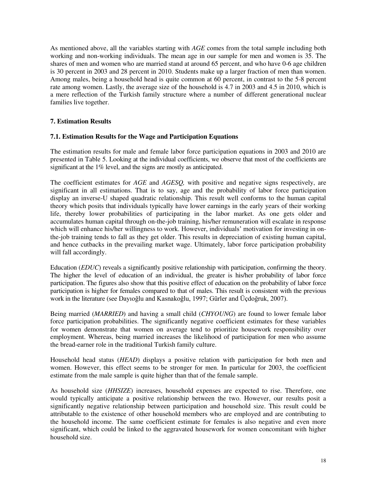As mentioned above, all the variables starting with *AGE* comes from the total sample including both working and non-working individuals. The mean age in our sample for men and women is 35. The shares of men and women who are married stand at around 65 percent, and who have 0-6 age children is 30 percent in 2003 and 28 percent in 2010. Students make up a larger fraction of men than women. Among males, being a household head is quite common at 60 percent, in contrast to the 5-8 percent rate among women. Lastly, the average size of the household is 4.7 in 2003 and 4.5 in 2010, which is a mere reflection of the Turkish family structure where a number of different generational nuclear families live together.

## **7. Estimation Results**

## **7.1. Estimation Results for the Wage and Participation Equations**

The estimation results for male and female labor force participation equations in 2003 and 2010 are presented in Table 5. Looking at the individual coefficients, we observe that most of the coefficients are significant at the 1% level, and the signs are mostly as anticipated.

The coefficient estimates for *AGE* and *AGESQ,* with positive and negative signs respectively, are significant in all estimations. That is to say, age and the probability of labor force participation display an inverse-U shaped quadratic relationship. This result well conforms to the human capital theory which posits that individuals typically have lower earnings in the early years of their working life, thereby lower probabilities of participating in the labor market. As one gets older and accumulates human capital through on-the-job training, his/her remuneration will escalate in response which will enhance his/her willingness to work. However, individuals' motivation for investing in onthe-job training tends to fall as they get older. This results in depreciation of existing human capital, and hence cutbacks in the prevailing market wage. Ultimately, labor force participation probability will fall accordingly.

Education (*EDUC*) reveals a significantly positive relationship with participation, confirming the theory. The higher the level of education of an individual, the greater is his/her probability of labor force participation. The figures also show that this positive effect of education on the probability of labor force participation is higher for females compared to that of males. This result is consistent with the previous work in the literature (see Dayıoğlu and Kasnakoğlu, 1997; Gürler and Üçdoğruk, 2007).

Being married (*MARRIED*) and having a small child (*CHYOUNG*) are found to lower female labor force participation probabilities. The significantly negative coefficient estimates for these variables for women demonstrate that women on average tend to prioritize housework responsibility over employment. Whereas, being married increases the likelihood of participation for men who assume the bread-earner role in the traditional Turkish family culture.

Household head status (*HEAD*) displays a positive relation with participation for both men and women. However, this effect seems to be stronger for men. In particular for 2003, the coefficient estimate from the male sample is quite higher than that of the female sample.

As household size (*HHSIZE*) increases, household expenses are expected to rise. Therefore, one would typically anticipate a positive relationship between the two. However, our results posit a significantly negative relationship between participation and household size. This result could be attributable to the existence of other household members who are employed and are contributing to the household income. The same coefficient estimate for females is also negative and even more significant, which could be linked to the aggravated housework for women concomitant with higher household size.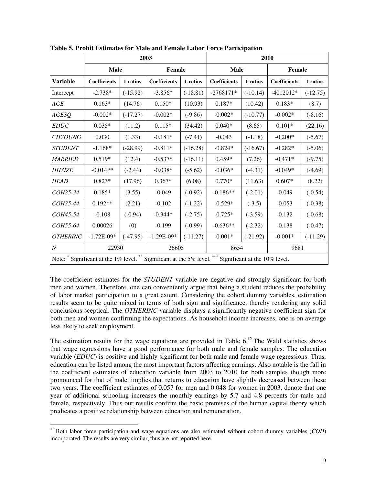|                 |                                                                                                        |            | 2003                |              | 2010                |            |                     |            |  |
|-----------------|--------------------------------------------------------------------------------------------------------|------------|---------------------|--------------|---------------------|------------|---------------------|------------|--|
|                 | <b>Male</b>                                                                                            |            | Female              |              | <b>Male</b>         |            | Female              |            |  |
| <b>Variable</b> | <b>Coefficients</b>                                                                                    | t-ratios   | <b>Coefficients</b> | t-ratios     | <b>Coefficients</b> | t-ratios   | <b>Coefficients</b> | t-ratios   |  |
| Intercept       | $-2.738*$                                                                                              | $(-15.92)$ | $-3.856*$           | $(-18.81)$   | $-2768171*$         | $(-10.14)$ | $-4012012*$         | $(-12.75)$ |  |
| AGE             | $0.163*$                                                                                               | (14.76)    | $0.150*$            | (10.93)      | $0.187*$            | (10.42)    | $0.183*$            | (8.7)      |  |
| <b>AGESQ</b>    | $-0.002*$                                                                                              | $(-17.27)$ | $-0.002*$           | $(-9.86)$    | $-0.002*$           | $(-10.77)$ | $-0.002*$           | $(-8.16)$  |  |
| <b>EDUC</b>     | $0.035*$                                                                                               | (11.2)     | $0.115*$            | (34.42)      | $0.040*$            | (8.65)     | $0.101*$            | (22.16)    |  |
| <b>CHYOUNG</b>  | 0.030                                                                                                  | (1.33)     | $-0.181*$           | $(-7.41)$    | $-0.043$            | $(-1.18)$  | $-0.200*$           | $(-5.67)$  |  |
| <b>STUDENT</b>  | $-1.168*$                                                                                              | $(-28.99)$ | $-0.811*$           | $(-16.28)$   | $-0.824*$           | $(-16.67)$ | $-0.282*$           | $(-5.06)$  |  |
| <b>MARRIED</b>  | $0.519*$                                                                                               | (12.4)     | $-0.537*$           | $(-16.11)$   | $0.459*$            | (7.26)     | $-0.471*$           | $(-9.75)$  |  |
| <b>HHSIZE</b>   | $-0.014**$                                                                                             | $(-2.44)$  | $-0.038*$           | $(-5.62)$    | $-0.036*$           | $(-4.31)$  | $-0.049*$           | $(-4.69)$  |  |
| <b>HEAD</b>     | $0.823*$                                                                                               | (17.96)    | $0.367*$            | (6.08)       | $0.770*$            | (11.63)    | $0.607*$            | (8.22)     |  |
| COH25-34        | $0.185*$                                                                                               | (3.55)     | $-0.049$            | $(-0.92)$    | $-0.186**$          | $(-2.01)$  | $-0.049$            | $(-0.54)$  |  |
| COH35-44        | $0.192**$                                                                                              | (2.21)     | $-0.102$            | $(-1.22)$    | $-0.529*$           | $(-3.5)$   | $-0.053$            | $(-0.38)$  |  |
| COH45-54        | $-0.108$                                                                                               | $(-0.94)$  | $-0.344*$           | $(-2.75)$    | $-0.725*$           | $(-3.59)$  | $-0.132$            | $(-0.68)$  |  |
| COH55-64        | 0.00026                                                                                                | (0)        | $-0.199$            | $(-0.99)$    | $-0.636**$          | $(-2.32)$  | $-0.138$            | $(-0.47)$  |  |
| <b>OTHERINC</b> | $-1.72E-09*$                                                                                           | $(-47.95)$ | $-1.29E-09*$        | $(-11.27)$   | $-0.001*$           | $(-21.92)$ | $-0.001*$           | $(-11.29)$ |  |
| $\cal N$        | 22930<br>26605                                                                                         |            |                     | 8654<br>9681 |                     |            |                     |            |  |
|                 | Note: * Significant at the 1% level. ** Significant at the 5% level. *** Significant at the 10% level. |            |                     |              |                     |            |                     |            |  |

**Table 5. Probit Estimates for Male and Female Labor Force Participation** 

The coefficient estimates for the *STUDENT* variable are negative and strongly significant for both men and women. Therefore, one can conveniently argue that being a student reduces the probability of labor market participation to a great extent. Considering the cohort dummy variables, estimation results seem to be quite mixed in terms of both sign and significance, thereby rendering any solid conclusions sceptical. The *OTHERINC* variable displays a significantly negative coefficient sign for both men and women confirming the expectations. As household income increases, one is on average less likely to seek employment.

The estimation results for the wage equations are provided in Table  $6<sup>12</sup>$  The Wald statistics shows that wage regressions have a good performance for both male and female samples. The education variable (*EDUC*) is positive and highly significant for both male and female wage regressions. Thus, education can be listed among the most important factors affecting earnings. Also notable is the fall in the coefficient estimates of education variable from 2003 to 2010 for both samples though more pronounced for that of male, implies that returns to education have slightly decreased between these two years. The coefficient estimates of 0.057 for men and 0.048 for women in 2003, denote that one year of additional schooling increases the monthly earnings by 5.7 and 4.8 percents for male and female, respectively. Thus our results confirm the basic premises of the human capital theory which predicates a positive relationship between education and remuneration.

 $\overline{a}$ <sup>12</sup> Both labor force participation and wage equations are also estimated without cohort dummy variables (*COH*) incorporated. The results are very similar, thus are not reported here.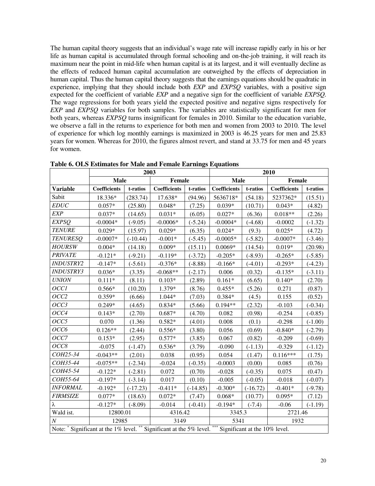The human capital theory suggests that an individual's wage rate will increase rapidly early in his or her life as human capital is accumulated through formal schooling and on-the-job training, it will reach its maximum near the point in mid-life when human capital is at its largest, and it will eventually decline as the effects of reduced human capital accumulation are outweighed by the effects of depreciation in human capital. Thus the human capital theory suggests that the earnings equations should be quadratic in experience, implying that they should include both *EXP* and *EXPSQ* variables, with a positive sign expected for the coefficient of variable *EXP* and a negative sign for the coefficient of variable *EXPSQ*. The wage regressions for both years yield the expected positive and negative signs respectively for *EXP* and *EXPSQ* variables for both samples. The variables are statistically significant for men for both years, whereas *EXPSQ* turns insignificant for females in 2010. Similar to the education variable, we observe a fall in the returns to experience for both men and women from 2003 to 2010. The level of experience for which log monthly earnings is maximized in 2003 is 46.25 years for men and 25.83 years for women. Whereas for 2010, the figures almost revert, and stand at 33.75 for men and 45 years for women.

|                                                                      |                     | 2003       |                     |            | 2010                              |            |                     |           |  |
|----------------------------------------------------------------------|---------------------|------------|---------------------|------------|-----------------------------------|------------|---------------------|-----------|--|
|                                                                      | Male                |            | Female              |            | Male                              |            | <b>Female</b>       |           |  |
| <b>Variable</b>                                                      | <b>Coefficients</b> | t-ratios   | <b>Coefficients</b> | t-ratios   | <b>Coefficients</b>               | t-ratios   | <b>Coefficients</b> | t-ratios  |  |
| Sabit                                                                | 18.336*             | (283.74)   | 17.638*             | (94.96)    | 5636718*                          | (54.18)    | 5237362*            | (15.51)   |  |
| <b>EDUC</b>                                                          | $0.057*$            | (25.80)    | $0.048*$            | (7.25)     | $0.039*$                          | (10.71)    | $0.043*$            | (4.82)    |  |
| <b>EXP</b>                                                           | $0.037*$            | (14.65)    | $0.031*$            | (6.05)     | $0.027*$                          | (6.36)     | $0.018**$           | (2.26)    |  |
| <b>EXPSQ</b>                                                         | $-0.0004*$          | $(-9.05)$  | $-0.0006*$          | $(-5.24)$  | $-0.0004*$                        | $(-4.68)$  | $-0.0002$           | $(-1.32)$ |  |
| <b>TENURE</b>                                                        | $0.029*$            | (15.97)    | $0.029*$            | (6.35)     | $0.024*$                          | (9.3)      | $0.025*$            | (4.72)    |  |
| <b>TENURESO</b>                                                      | $-0.0007*$          | $(-10.44)$ | $-0.001*$           | $(-5.45)$  | $-0.0005*$                        | $(-5.82)$  | $-0.0007*$          | $(-3.46)$ |  |
| <b>HOURSW</b>                                                        | $0.004*$            | (14.18)    | $0.009*$            | (15.11)    | $0.0069*$                         | (14.54)    | $0.019*$            | (20.98)   |  |
| <b>PRIVATE</b>                                                       | $-0.121*$           | $(-9.21)$  | $-0.119*$           | $(-3.72)$  | $-0.205*$                         | $(-8.93)$  | $-0.265*$           | $(-5.85)$ |  |
| <b>INDUSTRY2</b>                                                     | $-0.147*$           | $(-5.61)$  | $-0.376*$           | $(-8.88)$  | $-0.166*$                         | $(-4.01)$  | $-0.293*$           | $(-4.23)$ |  |
| <b>INDUSTRY3</b>                                                     | $0.036*$            | (3.35)     | $-0.068**$          | $(-2.17)$  | 0.006                             | (0.32)     | $-0.135*$           | $(-3.11)$ |  |
| <b>UNION</b>                                                         | $0.111*$            | (8.11)     | $0.103*$            | (2.89)     | $0.161*$                          | (6.65)     | $0.140*$            | (2.70)    |  |
| OCC1                                                                 | $0.566*$            | (10.20)    | 1.379*              | (8.76)     | $0.455*$                          | (5.26)     | 0.271               | (0.87)    |  |
| OCC2                                                                 | $0.359*$            | (6.66)     | 1.044*              | (7.03)     | $0.384*$                          | (4.5)      | 0.155               | (0.52)    |  |
| OCC3                                                                 | $0.249*$            | (4.65)     | $0.834*$            | (5.66)     | $0.194**$                         | (2.32)     | $-0.103$            | $(-0.34)$ |  |
| OCC4                                                                 | $0.143*$            | (2.70)     | $0.687*$            | (4.70)     | 0.082                             | (0.98)     | $-0.254$            | $(-0.85)$ |  |
| OCC5                                                                 | 0.070               | (1.36)     | $0.582*$            | (4.01)     | 0.008                             | (0.1)      | $-0.298$            | $(-1.00)$ |  |
| OCC6                                                                 | $0.126**$           | (2.44)     | $0.556*$            | (3.80)     | 0.056                             | (0.69)     | $-0.840*$           | $(-2.79)$ |  |
| OCC7                                                                 | $0.153*$            | (2.95)     | $0.577*$            | (3.85)     | 0.067                             | (0.82)     | $-0.209$            | $(-0.69)$ |  |
| OCC8                                                                 | $-0.075$            | $(-1.47)$  | $0.536*$            | (3.79)     | $-0.090$                          | $(-1.13)$  | $-0.329$            | $(-1.12)$ |  |
| COH25-34                                                             | $-0.043**$          | (2.01)     | 0.038               | (0.95)     | 0.054                             | (1.47)     | $0.116***$          | (1.75)    |  |
| COH35-44                                                             | $-0.075**$          | $(-2.34)$  | $-0.024$            | $(-0.35)$  | $-0.0003$                         | (0.00)     | 0.085               | (0.76)    |  |
| COH45-54                                                             | $-0.122*$           | $(-2.81)$  | 0.072               | (0.70)     | $-0.028$                          | $(-0.35)$  | 0.075               | (0.47)    |  |
| COH55-64                                                             | $-0.197*$           | $(-3.14)$  | 0.017               | (0.10)     | $-0.005$                          | $(-0.05)$  | $-0.018$            | $(-0.07)$ |  |
| <b>INFORMAL</b>                                                      | $-0.192*$           | $(-17.23)$ | $-0.411*$           | $(-14.85)$ | $-0.300*$                         | $(-16.72)$ | $-0.401*$           | $(-9.78)$ |  |
| <b>FIRMSIZE</b>                                                      | $0.077*$            | (18.63)    | $0.072*$            | (7.47)     | $0.068*$                          | (10.77)    | $0.095*$            | (7.12)    |  |
| λ                                                                    | $-0.127*$           | $(-8.09)$  | $-0.014$            | $(-0.41)$  | $-0.194*$                         | $(-7.4)$   | $-0.06$             | $(-1.19)$ |  |
| Wald ist.                                                            | 12800.01            |            | 4316.42             |            | 3345.3                            |            | 2721.46             |           |  |
| $\boldsymbol{N}$                                                     | 12985               |            | 3149                |            | 5341<br>1932                      |            |                     |           |  |
| Note: * Significant at the 1% level. ** Significant at the 5% level. |                     |            |                     |            | *** Significant at the 10% level. |            |                     |           |  |

**Table 6. OLS Estimates for Male and Female Earnings Equations**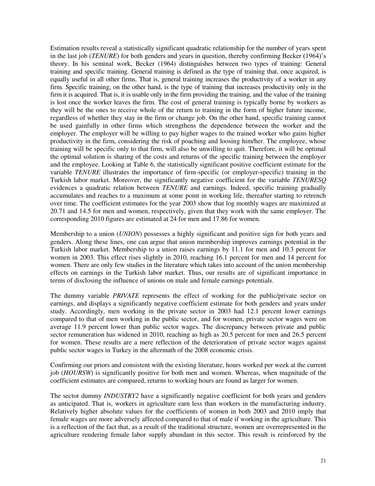Estimation results reveal a statistically significant quadratic relationship for the number of years spent in the last job (*TENURE*) for both genders and years in question, thereby confirming Becker (1964)'s theory. In his seminal work, Becker (1964) distinguishes between two types of training: General training and specific training. General training is defined as the type of training that, once acquired, is equally useful in all other firms. That is, general training increases the productivity of a worker in any firm. Specific training, on the other hand, is the type of training that increases productivity only in the firm it is acquired. That is, it is usable only in the firm providing the training, and the value of the training is lost once the worker leaves the firm. The cost of general training is typically borne by workers as they will be the ones to receive whole of the return to training in the form of higher future income, regardless of whether they stay in the firm or change job. On the other hand, specific training cannot be used gainfully in other firms which strengthens the dependence between the worker and the employer. The employer will be willing to pay higher wages to the trained worker who gains higher productivity in the firm, considering the risk of poaching and loosing him/her. The employee, whose training will be specific only to that firm, will also be unwilling to quit. Therefore, it will be optimal the optimal solution is sharing of the costs and returns of the specific training between the employer and the employee. Looking at Table 6, the statistically significant positive coefficient estimate for the variable *TENURE* illustrates the importance of firm-specific (or employer-specific) training in the Turkish labor market. Moreover, the significantly negative coefficient for the variable *TENURESQ* evidences a quadratic relation between *TENURE* and earnings. Indeed, specific training gradually accumulates and reaches to a maximum at some point in working life, thereafter starting to retrench over time. The coefficient estimates for the year 2003 show that log monthly wages are maximized at 20.71 and 14.5 for men and women, respectively, given that they work with the same employer. The corresponding 2010 figures are estimated at 24 for men and 17.86 for women.

Membership to a union (*UNION*) possesses a highly significant and positive sign for both years and genders. Along these lines, one can argue that union membership improves earnings potential in the Turkish labor market. Membership to a union raises earnings by 11.1 for men and 10.3 percent for women in 2003. This effect rises slightly in 2010, reaching 16.1 percent for men and 14 percent for women. There are only few studies in the literature which takes into account of the union membership effects on earnings in the Turkish labor market. Thus, our results are of significant importance in terms of disclosing the influence of unions on male and female earnings potentials.

The dummy variable *PRIVATE* represents the effect of working for the public/private sector on earnings, and displays a significantly negative coefficient estimate for both genders and years under study. Accordingly, men working in the private sector in 2003 had 12.1 percent lower earnings compared to that of men working in the public sector, and for women, private sector wages were on average 11.9 percent lower than public sector wages. The discrepancy between private and public sector remuneration has widened in 2010, reaching as high as 20.5 percent for men and 26.5 percent for women. These results are a mere reflection of the deterioration of private sector wages against public sector wages in Turkey in the aftermath of the 2008 economic crisis.

Confirming our priors and consistent with the existing literature, hours worked per week at the current job (*HOURSW*) is significantly positive for both men and women. Whereas, when magnitude of the coefficient estimates are compared, returns to working hours are found as larger for women.

The sector dummy *INDUSTRY2* have a significantly negative coefficient for both years and genders as anticipated. That is, workers in agriculture earn less than workers in the manufacturing industry. Relatively higher absolute values for the coefficients of women in both 2003 and 2010 imply that female wages are more adversely affected compared to that of male if working in the agriculture. This is a reflection of the fact that, as a result of the traditional structure, women are overrepresented in the agriculture rendering female labor supply abundant in this sector. This result is reinforced by the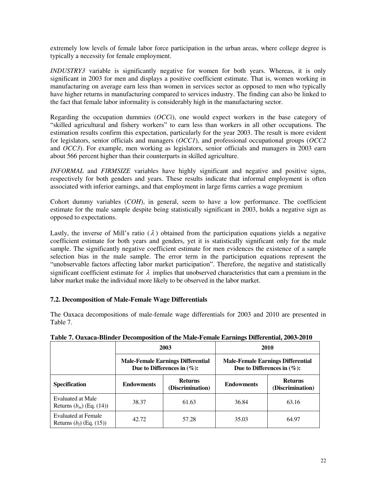extremely low levels of female labor force participation in the urban areas, where college degree is typically a necessity for female employment.

*INDUSTRY3* variable is significantly negative for women for both years. Whereas, it is only significant in 2003 for men and displays a positive coefficient estimate. That is, women working in manufacturing on average earn less than women in services sector as opposed to men who typically have higher returns in manufacturing compared to services industry. The finding can also be linked to the fact that female labor informality is considerably high in the manufacturing sector.

Regarding the occupation dummies (*OCCi*), one would expect workers in the base category of "skilled agricultural and fishery workers" to earn less than workers in all other occupations. The estimation results confirm this expectation, particularly for the year 2003. The result is more evident for legislators, senior officials and managers (*OCC1*), and professional occupational groups (*OCC2*  and *OCC3*). For example, men working as legislators, senior officials and managers in 2003 earn about 566 percent higher than their counterparts in skilled agriculture.

*INFORMAL* and *FIRMSIZE* variables have highly significant and negative and positive signs, respectively for both genders and years. These results indicate that informal employment is often associated with inferior earnings, and that employment in large firms carries a wage premium

Cohort dummy variables (*COH*), in general, seem to have a low performance. The coefficient estimate for the male sample despite being statistically significant in 2003, holds a negative sign as opposed to expectations.

Lastly, the inverse of Mill's ratio  $(\lambda)$  obtained from the participation equations yields a negative coefficient estimate for both years and genders, yet it is statistically significant only for the male sample. The significantly negative coefficient estimate for men evidences the existence of a sample selection bias in the male sample. The error term in the participation equations represent the "unobservable factors affecting labor market participation". Therefore, the negative and statistically significant coefficient estimate for  $\lambda$  implies that unobserved characteristics that earn a premium in the labor market make the individual more likely to be observed in the labor market.

# **7.2. Decomposition of Male-Female Wage Differentials**

The Oaxaca decompositions of male-female wage differentials for 2003 and 2010 are presented in Table 7.

|                                                          |                                                         | 2003                                                                      | 2010                                                                      |                                    |  |  |
|----------------------------------------------------------|---------------------------------------------------------|---------------------------------------------------------------------------|---------------------------------------------------------------------------|------------------------------------|--|--|
|                                                          |                                                         | <b>Male-Female Earnings Differential</b><br>Due to Differences in $(\%):$ | <b>Male-Female Earnings Differential</b><br>Due to Differences in $(\%):$ |                                    |  |  |
| <b>Specification</b>                                     | <b>Returns</b><br><b>Endowments</b><br>(Discrimination) |                                                                           | <b>Endowments</b>                                                         | <b>Returns</b><br>(Discrimination) |  |  |
| Evaluated at Male<br>Returns $(b_m)$ (Eq. (14))          | 38.37                                                   | 61.63                                                                     | 36.84                                                                     | 63.16                              |  |  |
| <b>Evaluated at Female</b><br>Returns $(b_f)$ (Eq. (15)) | 42.72                                                   | 57.28                                                                     | 35.03                                                                     | 64.97                              |  |  |

|  |  |  |  | Table 7. Oaxaca-Blinder Decomposition of the Male-Female Earnings Differential, 2003-2010 |  |
|--|--|--|--|-------------------------------------------------------------------------------------------|--|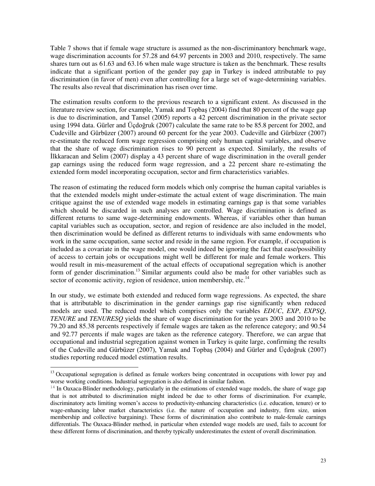Table 7 shows that if female wage structure is assumed as the non-discriminantory benchmark wage, wage discrimination accounts for 57.28 and 64.97 percents in 2003 and 2010, respectively. The same shares turn out as 61.63 and 63.16 when male wage structure is taken as the benchmark. These results indicate that a significant portion of the gender pay gap in Turkey is indeed attributable to pay discrimination (in favor of men) even after controlling for a large set of wage-determining variables. The results also reveal that discrimination has risen over time.

The estimation results conform to the previous research to a significant extent. As discussed in the literature review section, for example, Yamak and Topbaş (2004) find that 80 percent of the wage gap is due to discrimination, and Tansel (2005) reports a 42 percent discrimination in the private sector using 1994 data. Gürler and Üçdoğruk (2007) calculate the same rate to be 85.8 percent for 2002, and Cudeville and Gürbüzer (2007) around 60 percent for the year 2003. Cudeville and Gürbüzer (2007) re-estimate the reduced form wage regression comprising only human capital variables, and observe that the share of wage discrimination rises to 90 percent as expected. Similarly, the results of İlkkaracan and Selim (2007) display a 43 percent share of wage discrimination in the overall gender gap earnings using the reduced form wage regression, and a 22 percent share re-estimating the extended form model incorporating occupation, sector and firm characteristics variables.

The reason of estimating the reduced form models which only comprise the human capital variables is that the extended models might under-estimate the actual extent of wage discrimination. The main critique against the use of extended wage models in estimating earnings gap is that some variables which should be discarded in such analyses are controlled. Wage discrimination is defined as different returns to same wage-determining endowments. Whereas, if variables other than human capital variables such as occupation, sector, and region of residence are also included in the model, then discrimination would be defined as different returns to individuals with same endowments who work in the same occupation, same sector and reside in the same region. For example, if occupation is included as a covariate in the wage model, one would indeed be ignoring the fact that ease/possibility of access to certain jobs or occupations might well be different for male and female workers. This would result in mis-measurement of the actual effects of occupational segregation which is another form of gender discrimination.<sup>13</sup> Similar arguments could also be made for other variables such as sector of economic activity, region of residence, union membership, etc. $^{14}$ 

In our study, we estimate both extended and reduced form wage regressions. As expected, the share that is attributable to discrimination in the gender earnings gap rise significantly when reduced models are used. The reduced model which comprises only the variables *EDUC*, *EXP*, *EXPSQ*, *TENURE* and *TENURESQ* yields the share of wage discrimination for the years 2003 and 2010 to be 79.20 and 85.38 percents respectively if female wages are taken as the reference category; and 90.54 and 92.77 percents if male wages are taken as the reference category. Therefore, we can argue that occupational and industrial segregation against women in Turkey is quite large, confirming the results of the Cudeville and Gürbüzer (2007), Yamak and Topbaş (2004) and Gürler and Üçdoğruk (2007) studies reporting reduced model estimation results.

 $\overline{a}$ 

<sup>&</sup>lt;sup>13</sup> Occupational segregation is defined as female workers being concentrated in occupations with lower pay and worse working conditions. Industrial segregation is also defined in similar fashion.

 $14$  In Oaxaca-Blinder methodology, particularly in the estimations of extended wage models, the share of wage gap that is not attributed to discrimination might indeed be due to other forms of discrimination. For example, discriminatory acts limiting women's access to productivity-enhancing characteristics (i.e. education, tenure) or to wage-enhancing labor market characteristics (i.e. the nature of occupation and industry, firm size, union membership and collective bargaining). These forms of discrimination also contribute to male-female earnings differentials. The Oaxaca-Blinder method, in particular when extended wage models are used, fails to account for these different forms of discrimination, and thereby typically underestimates the extent of overall discrimination.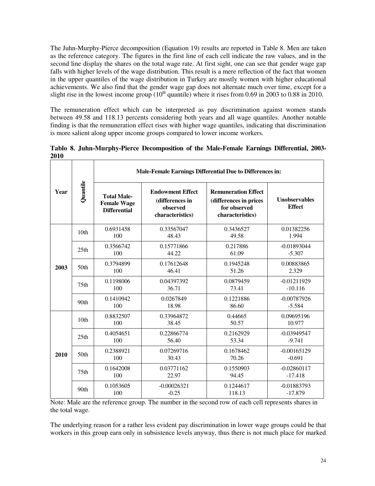The Juhn-Murphy-Pierce decomposition (Equation 19) results are reported in Table 8. Men are taken as the reference category. The figures in the first line of each cell indicate the raw values, and in the second line display the shares on the total wage rate. At first sight, one can see that gender wage gap falls with higher levels of the wage distribution. This result is a mere reflection of the fact that women in the upper quantiles of the wage distribution in Turkey are mostly women with higher educational achievements. We also find that the gender wage gap does not alternate much over time, except for a slight rise in the lowest income group  $(10<sup>th</sup>$  quantile) where it rises from 0.69 in 2003 to 0.88 in 2010.

The remuneration effect which can be interpreted as pay discrimination against women stands between 49.58 and 118.13 percents considering both years and all wage quantiles. Another notable finding is that the remuneration effect rises with higher wage quantiles, indicating that discrimination is more salient along upper income groups compared to lower income workers.

| Year | Quantile         | Male-Female Earnings Differential Due to Differences in:        |                                                                            |                                                                                          |                                       |
|------|------------------|-----------------------------------------------------------------|----------------------------------------------------------------------------|------------------------------------------------------------------------------------------|---------------------------------------|
|      |                  | <b>Total Male-</b><br><b>Female Wage</b><br><b>Differential</b> | <b>Endowment Effect</b><br>(differences in<br>observed<br>characteristics) | <b>Remuneration Effect</b><br>(differences in prices<br>for observed<br>characteristics) | <b>Unobservables</b><br><b>Effect</b> |
| 2003 | 10 <sub>th</sub> | 0.6931458<br>100                                                | 0.33567047<br>48.43                                                        | 0.3436527<br>49.58                                                                       | 0.01382256<br>1.994                   |
|      | 25th             | 0.3566742<br>100                                                | 0.15771866<br>44.22                                                        | 0.217886<br>61.09                                                                        | $-0.01893044$<br>$-5.307$             |
|      | 50th             | 0.3794899<br>100                                                | 0.17612648<br>46.41                                                        | 0.1945248<br>51.26                                                                       | 0.00883865<br>2.329                   |
|      | 75 <sub>th</sub> | 0.1198006<br>100                                                | 0.04397392<br>36.71                                                        | 0.0879459<br>73.41                                                                       | $-0.01211929$<br>$-10.116$            |
|      | 90 <sub>th</sub> | 0.1410942<br>100                                                | 0.0267849<br>18.98                                                         | 0.1221886<br>86.60                                                                       | $-0.00787926$<br>$-5.584$             |
| 2010 | 10 <sub>th</sub> | 0.8832507<br>100                                                | 0.33964872<br>38.45                                                        | 0.44665<br>50.57                                                                         | 0.09695196<br>10.977                  |
|      | 25th             | 0.4054651<br>100                                                | 0.22866774<br>56.40                                                        | 0.2162929<br>53.34                                                                       | $-0.03949547$<br>$-9.741$             |
|      | 50th             | 0.2388921<br>100                                                | 0.07269716<br>30.43                                                        | 0.1678462<br>70.26                                                                       | $-0.00165129$<br>$-0.691$             |
|      | 75 <sub>th</sub> | 0.1642008<br>100                                                | 0.03771162<br>22.97                                                        | 0.1550903<br>94.45                                                                       | $-0.02860117$<br>$-17.418$            |
|      | 90 <sub>th</sub> | 0.1053605<br>100                                                | $-0.00026321$<br>$-0.25$                                                   | 0.1244617<br>118.13                                                                      | $-0.01883793$<br>$-17.879$            |

**Tablo 8. Juhn-Murphy-Pierce Decomposition of the Male-Female Earnings Differential, 2003- 2010** 

Note: Male are the reference group. The number in the second row of each cell represents shares in the total wage.

The underlying reason for a rather less evident pay discrimination in lower wage groups could be that workers in this group earn only in subsistence levels anyway, thus there is not much place for marked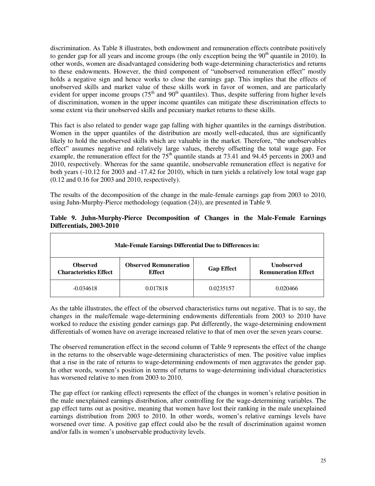discrimination. As Table 8 illustrates, both endowment and remuneration effects contribute positively to gender gap for all years and income groups (the only exception being the  $90<sup>th</sup>$  quantile in 2010). In other words, women are disadvantaged considering both wage-determining characteristics and returns to these endowments. However, the third component of "unobserved remuneration effect" mostly holds a negative sign and hence works to close the earnings gap. This implies that the effects of unobserved skills and market value of these skills work in favor of women, and are particularly evident for upper income groups ( $75<sup>th</sup>$  and  $90<sup>th</sup>$  quantiles). Thus, despite suffering from higher levels of discrimination, women in the upper income quantiles can mitigate these discrimination effects to some extent via their unobserved skills and pecuniary market returns to these skills.

This fact is also related to gender wage gap falling with higher quantiles in the earnings distribution. Women in the upper quantiles of the distribution are mostly well-educated, thus are significantly likely to hold the unobserved skills which are valuable in the market. Therefore, "the unobservables effect" assumes negative and relatively large values, thereby offsetting the total wage gap. For example, the remuneration effect for the  $75<sup>th</sup>$  quantile stands at 73.41 and 94.45 percents in 2003 and 2010, respectively. Whereas for the same quantile, unobservable remuneration effect is negative for both years (-10.12 for 2003 and -17.42 for 2010), which in turn yields a relatively low total wage gap (0.12 and 0.16 for 2003 and 2010, respectively).

The results of the decomposition of the change in the male-female earnings gap from 2003 to 2010, using Juhn-Murphy-Pierce methodology (equation (24)), are presented in Table 9.

| Male-Female Earnings Differential Due to Differences in: |                                               |                   |                                                 |  |  |  |
|----------------------------------------------------------|-----------------------------------------------|-------------------|-------------------------------------------------|--|--|--|
| <b>Observed</b><br><b>Characteristics Effect</b>         | <b>Observed Remuneration</b><br><b>Effect</b> | <b>Gap Effect</b> | <b>Unobserved</b><br><b>Remuneration Effect</b> |  |  |  |
| $-0.034618$                                              | 0.017818                                      | 0.0235157         | 0.020466                                        |  |  |  |

# **Table 9. Juhn-Murphy-Pierce Decomposition of Changes in the Male-Female Earnings Differentials, 2003-2010**

As the table illustrates, the effect of the observed characteristics turns out negative. That is to say, the changes in the male/female wage-determining endowments differentials from 2003 to 2010 have worked to reduce the existing gender earnings gap. Put differently, the wage-determining endowment differentials of women have on average increased relative to that of men over the seven years course.

The observed remuneration effect in the second column of Table 9 represents the effect of the change in the returns to the observable wage-determining characteristics of men. The positive value implies that a rise in the rate of returns to wage-determining endowments of men aggravates the gender gap. In other words, women's position in terms of returns to wage-determining individual characteristics has worsened relative to men from 2003 to 2010.

The gap effect (or ranking effect) represents the effect of the changes in women's relative position in the male unexplained earnings distribution, after controlling for the wage-determining variables. The gap effect turns out as positive, meaning that women have lost their ranking in the male unexplained earnings distribution from 2003 to 2010. In other words, women's relative earnings levels have worsened over time. A positive gap effect could also be the result of discrimination against women and/or falls in women's unobservable productivity levels.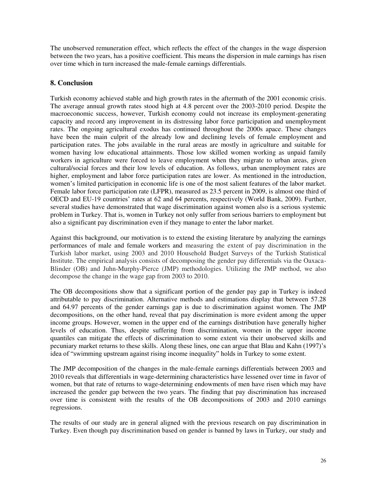The unobserved remuneration effect, which reflects the effect of the changes in the wage dispersion between the two years, has a positive coefficient. This means the dispersion in male earnings has risen over time which in turn increased the male-female earnings differentials.

# **8. Conclusion**

Turkish economy achieved stable and high growth rates in the aftermath of the 2001 economic crisis. The average annual growth rates stood high at 4.8 percent over the 2003-2010 period. Despite the macroeconomic success, however, Turkish economy could not increase its employment-generating capacity and record any improvement in its distressing labor force participation and unemployment rates. The ongoing agricultural exodus has continued throughout the 2000s apace. These changes have been the main culprit of the already low and declining levels of female employment and participation rates. The jobs available in the rural areas are mostly in agriculture and suitable for women having low educational attainments. Those low skilled women working as unpaid family workers in agriculture were forced to leave employment when they migrate to urban areas, given cultural/social forces and their low levels of education. As follows, urban unemployment rates are higher, employment and labor force participation rates are lower. As mentioned in the introduction, women's limited participation in economic life is one of the most salient features of the labor market. Female labor force participation rate (LFPR), measured as 23.5 percent in 2009, is almost one third of OECD and EU-19 countries' rates at 62 and 64 percents, respectively (World Bank, 2009). Further, several studies have demonstrated that wage discrimination against women also is a serious systemic problem in Turkey. That is, women in Turkey not only suffer from serious barriers to employment but also a significant pay discrimination even if they manage to enter the labor market.

Against this background, our motivation is to extend the existing literature by analyzing the earnings performances of male and female workers and measuring the extent of pay discrimination in the Turkish labor market, using 2003 and 2010 Household Budget Surveys of the Turkish Statistical Institute. The empirical analysis consists of decomposing the gender pay differentials via the Oaxaca-Blinder (OB) and Juhn-Murphy-Pierce (JMP) methodologies. Utilizing the JMP method, we also decompose the change in the wage gap from 2003 to 2010.

The OB decompositions show that a significant portion of the gender pay gap in Turkey is indeed attributable to pay discrimination. Alternative methods and estimations display that between 57.28 and 64.97 percents of the gender earnings gap is due to discrimination against women. The JMP decompositions, on the other hand, reveal that pay discrimination is more evident among the upper income groups. However, women in the upper end of the earnings distribution have generally higher levels of education. Thus, despite suffering from discrimination, women in the upper income quantiles can mitigate the effects of discrimination to some extent via their unobserved skills and pecuniary market returns to these skills. Along these lines, one can argue that Blau and Kahn (1997)'s idea of "swimming upstream against rising income inequality" holds in Turkey to some extent.

The JMP decomposition of the changes in the male-female earnings differentials between 2003 and 2010 reveals that differentials in wage-determining characteristics have lessened over time in favor of women, but that rate of returns to wage-determining endowments of men have risen which may have increased the gender gap between the two years. The finding that pay discrimination has increased over time is consistent with the results of the OB decompositions of 2003 and 2010 earnings regressions.

The results of our study are in general aligned with the previous research on pay discrimination in Turkey. Even though pay discrimination based on gender is banned by laws in Turkey, our study and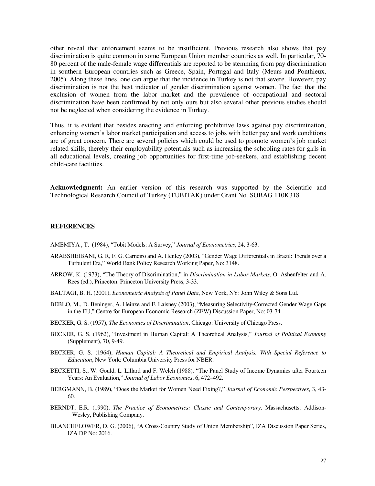other reveal that enforcement seems to be insufficient. Previous research also shows that pay discrimination is quite common in some European Union member countries as well. In particular, 70- 80 percent of the male-female wage differentials are reported to be stemming from pay discrimination in southern European countries such as Greece, Spain, Portugal and Italy (Meurs and Ponthieux, 2005). Along these lines, one can argue that the incidence in Turkey is not that severe. However, pay discrimination is not the best indicator of gender discrimination against women. The fact that the exclusion of women from the labor market and the prevalence of occupational and sectoral discrimination have been confirmed by not only ours but also several other previous studies should not be neglected when considering the evidence in Turkey.

Thus, it is evident that besides enacting and enforcing prohibitive laws against pay discrimination, enhancing women's labor market participation and access to jobs with better pay and work conditions are of great concern. There are several policies which could be used to promote women's job market related skills, thereby their employability potentials such as increasing the schooling rates for girls in all educational levels, creating job opportunities for first-time job-seekers, and establishing decent child-care facilities.

**Acknowledgment:** An earlier version of this research was supported by the Scientific and Technological Research Council of Turkey (TUBITAK) under Grant No. SOBAG 110K318.

#### **REFERENCES**

AMEMIYA , T. (1984), "Tobit Models: A Survey," *Journal of Econometrics*, 24, 3-63.

- ARABSHEIBANI, G. R, F. G. Carneiro and A. Henley (2003), "Gender Wage Differentials in Brazil: Trends over a Turbulent Era," World Bank Policy Research Working Paper, No: 3148.
- ARROW, K. (1973), "The Theory of Discrimination," in *Discrimination in Labor Markets*, O. Ashenfelter and A. Rees (ed.), Princeton: Princeton University Press, 3-33.
- BALTAGI, B. H. (2001), *Econometric Analysis of Panel Data*, New York, NY: John Wiley & Sons Ltd.
- BEBLO, M., D. Beninger, A. Heinze and F. Laisney (2003), "Measuring Selectivity-Corrected Gender Wage Gaps in the EU," Centre for European Economic Research (ZEW) Discussion Paper, No: 03-74.
- BECKER, G. S. (1957), *The Economics of Discrimination*, Chicago: University of Chicago Press.
- BECKER, G. S. (1962), "Investment in Human Capital: A Theoretical Analysis," *Journal of Political Economy* (Supplement), 70, 9-49.
- BECKER, G. S. (1964), *Human Capital: A Theoretical and Empirical Analysis, With Special Reference to Education*, New York: Columbia University Press for NBER.
- BECKETTI, S., W. Gould, L. Lillard and F. Welch (1988). "The Panel Study of Income Dynamics after Fourteen Years: An Evaluation," *Journal of Labor Economics*, 6, 472–492.
- BERGMANN, B. (1989), "Does the Market for Women Need Fixing?," *Journal of Economic Perspectives*, 3, 43- 60.
- BERNDT, E.R. (1990), *The Practice of Econometrics: Classic and Contemporary*. Massachusetts: Addison-Wesley, Publishing Company.
- BLANCHFLOWER, D. G. (2006), "A Cross-Country Study of Union Membership", IZA Discussion Paper Series, IZA DP No: 2016.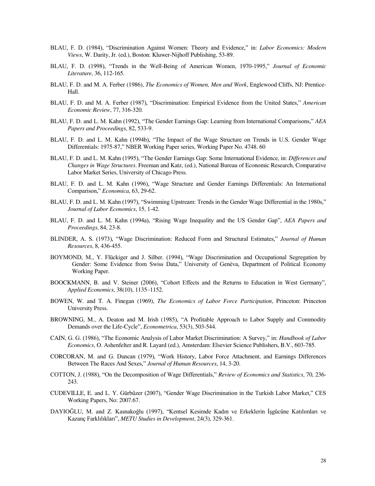- BLAU, F. D. (1984), "Discrimination Against Women: Theory and Evidence," in: *Labor Economics: Modern Views*, W. Darity, Jr. (ed.), Boston: Kluwer-Nijhoff Publishing, 53-89.
- BLAU, F. D. (1998), "Trends in the Well-Being of American Women, 1970-1995," *Journal of Economic Literature*, 36, 112-165.
- BLAU, F. D. and M. A. Ferber (1986), *The Economics of Women, Men and Work*, Englewood Cliffs, NJ: Prentice-Hall.
- BLAU, F. D. and M. A. Ferber (1987), "Discrimination: Empirical Evidence from the United States," *American Economic Review*, 77, 316-320.
- BLAU, F. D. and L. M. Kahn (1992), "The Gender Earnings Gap: Learning from International Comparisons," *AEA Papers and Proceedings*, 82, 533-9.
- BLAU, F. D. and L. M. Kahn (1994b), "The Impact of the Wage Structure on Trends in U.S. Gender Wage Differentials: 1975-87," NBER Working Paper series, Working Paper No. 4748. 60
- BLAU, F. D. and L. M. Kahn (1995), "The Gender Earnings Gap: Some International Evidence, in: *Differences and Changes in Wage Structures*. Freeman and Katz, (ed.), National Bureau of Economic Research, Comparative Labor Market Series, University of Chicago Press.
- BLAU, F. D. and L. M. Kahn (1996), "Wage Structure and Gender Earnings Differentials: An International Comparison," *Economica*, 63, 29-62.
- BLAU, F. D. and L. M. Kahn (1997), "Swimming Upstream: Trends in the Gender Wage Differential in the 1980s," *Journal of Labor Economics*, 15, 1-42.
- BLAU, F. D. and L. M. Kahn (1994a), "Rising Wage Inequality and the US Gender Gap", *AEA Papers and Proceedings*, 84, 23-8.
- BLINDER, A. S. (1973), "Wage Discrimination: Reduced Form and Structural Estimates," *Journal of Human Resources*, 8, 436-455.
- BOYMOND, M., Y. Flückiger and J. Silber. (1994), "Wage Discrimination and Occupational Segregation by Gender: Some Evidence from Swiss Data," University of Genèva, Department of Political Economy Working Paper.
- BOOCKMANN, B. and V. Steiner (2006), "Cohort Effects and the Returns to Education in West Germany", *Applied Economics*, 38(10), 1135–1152.
- BOWEN, W. and T. A. Finegan (1969), *The Economics of Labor Force Participation*, Princeton: Princeton University Press.
- BROWNING, M., A. Deaton and M. Irish (1985), "[A Profitable Approach to Labor Supply and Commodity](http://ideas.repec.org/a/ecm/emetrp/v53y1985i3p503-43.html)  [Demands over the Life-Cycle](http://ideas.repec.org/a/ecm/emetrp/v53y1985i3p503-43.html)", *[Econometrica](http://ideas.repec.org/s/ecm/emetrp.html)*, 53(3), 503-544.
- CAIN, G. G. (1986), "The Economic Analysis of Labor Market Discrimination: A Survey," in: *Handbook of Labor Economics*, O. Ashenfelter and R. Layard (ed.), Amsterdam: Elsevier Science Publishers, B.V., 603-785.
- CORCORAN, M. and G. Duncan (1979), "Work History, Labor Force Attachment, and Earnings Differences Between The Races And Sexes," *Journal of Human Resources*, 14, 3-20.
- COTTON, J. (1988), "On the Decomposition of Wage Differentials," *Review of Economics and Statistics*, 70, 236- 243.
- CUDEVILLE, E. and L. Y. Gürbüzer (2007), "Gender Wage Discrimination in the Turkish Labor Market," CES Working Papers, No: 2007.67.
- DAYIOĞLU, M. and Z. Kasnakoğlu (1997), "Kentsel Kesimde Kadın ve Erkeklerin İşgücüne Katılımları ve Kazanç Farklılıkları", *METU Studies in Development*, 24(3), 329-361.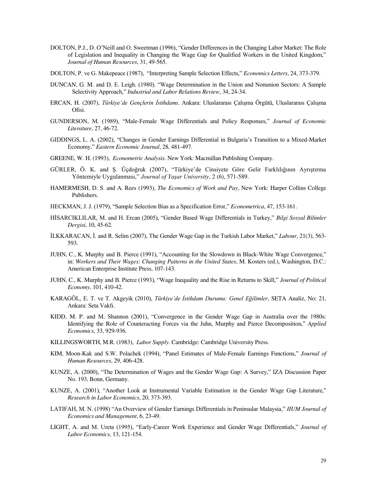- DOLTON, P.J., D. O'Neill and O. Sweetman (1996), "Gender Differences in the Changing Labor Market: The Role of Legislation and Inequality in Changing the Wage Gap for Qualified Workers in the United Kingdom," *Journal of Human Resources*, 31, 49-565.
- DOLTON, P. ve G. Makepeace (1987), "Interpreting Sample Selection Effects," *Economics Letters*, 24, 373-379.
- DUNCAN, G. M. and D. E. Leigh. (1980). "Wage Determination in the Union and Nonunion Sectors: A Sample Selectivity Approach," *Industrial and Labor Relations Review*, 34, 24-34.
- ERCAN, H. (2007), *Türkiye'de Gençlerin İstihdamı*. Ankara: Uluslararası Çalışma Örgütü, Uluslararası Çalışma Ofisi.
- GUNDERSON, M. (1989), "Male-Female Wage Differentials and Policy Responses," *Journal of Economic Literature*, 27, 46-72.
- GIDDINGS, L. A. (2002), "Changes in Gender Earnings Differential in Bulgaria's Transition to a Mixed-Market Economy," *Eastern Economic Journal*, 28, 481-497.
- GREENE, W. H. (1993), *Econometric Analysis*. New York: Macmillan Publishing Company.
- GÜRLER, Ö. K. and Ş. Üçdoğruk (2007), "Türkiye'de Cinsiyete Göre Gelir Farklılığının Ayrıştırma Yöntemiyle Uygulanması," *Journal of Yaşar University*, 2 (6), 571-589.
- HAMERMESH, D. S. and A. Rees (1993), *The Economics of Work and Pay*, New York: Harper Collins College Publishers.
- HECKMAN, J. J. (1979), "Sample Selection Bias as a Specification Error," *Econometrica*, 47, 153-161.
- HİSARCIKLILAR, M. and H. Ercan (2005), "Gender Based Wage Differentials in Turkey," *Bilgi Sosyal Bilimler Dergisi*, 10, 45-62.
- İLKKARACAN, İ. and R. Selim (2007), The Gender Wage Gap in the Turkish Labor Market," *Labour*, 21(3), 563- 593.
- JUHN, C., K. Murphy and B. Pierce (1991), "Accounting for the Slowdown in Black-White Wage Convergence," in: *Workers and Their Wages: Changing Patterns in the United States*, M. Kosters (ed.), Washington, D.C.: American Enterprise Institute Press, 107-143.
- JUHN, C., K. Murphy and B. Pierce (1993), "Wage Inequality and the Rise in Returns to Skill," *Journal of Political Economy*, 101, 410-42.
- KARAGÖL, E. T. ve T. Akgeyik (2010), *Türkiye'de İstihdam Durumu: Genel Eğilimler*, SETA Analiz, No: 21, Ankara: Seta Vakfı.
- KIDD, M. P. and M. Shannon (2001), "Convergence in the Gender Wage Gap in Australia over the 1980s: Identifying the Role of Counteracting Forces via the Juhn, Murphy and Pierce Decomposition," *Applied Economics*, 33, 929-936.
- KILLINGSWORTH, M.R. (1983), *Labor Supply*. Cambridge: Cambridge University Press.
- KIM, Moon-Kak and S.W. Polachek (1994), "Panel Estimates of Male-Female Earnings Functions," *Journal of Human Resources*, 29, 406-428.
- KUNZE, A. (2000), "The Determination of Wages and the Gender Wage Gap: A Survey," IZA Discussion Paper No. 193, Bonn, Germany.
- KUNZE, A. (2001), "Another Look at Instrumental Variable Estimation in the Gender Wage Gap Literature," *Research in Labor Economics*, 20, 373-393.
- LATIFAH, M. N. (1998) "An Overview of Gender Earnings Differentials in Peninsular Malaysia," *IIUM Journal of Economics and Management*, 6, 23-49.
- LIGHT, A. and M. Ureta (1995), "Early-Career Work Experience and Gender Wage Differentials," *Journal of Labor Economics*, 13, 121-154.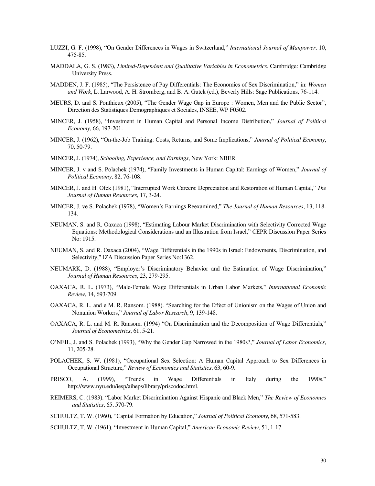- LUZZI, G. F. (1998), "On Gender Differences in Wages in Switzerland," *International Journal of Manpower*, 10, 475-85.
- MADDALA, G. S. (1983), *Limited-Dependent and Qualitative Variables in Econometrics*. Cambridge: Cambridge University Press.
- MADDEN, J. F. (1985), "The Persistence of Pay Differentials: The Economics of Sex Discrimination," in: *Women and Work*, L. Larwood, A. H. Stromberg, and B. A. Gutek (ed.), Beverly Hills: Sage Publications, 76-114.
- MEURS, D. and S. Ponthieux (2005), "The Gender Wage Gap in Europe : Women, Men and the Public Sector", Direction des Statistiques Demographiques et Sociales, INSEE, WP F0502.
- MINCER, J. (1958), "Investment in Human Capital and Personal Income Distribution," *Journal of Political Economy*, 66, 197-201.
- MINCER, J. (1962), "On-the-Job Training: Costs, Returns, and Some Implications," *Journal of Political Economy*, 70, 50-79.
- MINCER, J. (1974), *Schooling, Experience, and Earnings*, New York: NBER.
- MINCER, J. v and S. Polachek (1974), "Family Investments in Human Capital: Earnings of Women," *Journal of Political Economy*, 82, 76-108.
- MINCER, J. and H. Ofek (1981), "Interrupted Work Careers: Depreciation and Restoration of Human Capital," *The Journal of Human Resources*, 17, 3-24.
- MINCER, J. ve S. Polachek (1978), "Women's Earnings Reexamined," *The Journal of Human Resources*, 13, 118- 134.
- NEUMAN, S. and R. Oaxaca (1998), "Estimating Labour Market Discrimination with Selectivity Corrected Wage Equations: Methodological Considerations and an Illustration from Israel," CEPR Discussion Paper Series No: 1915.
- NEUMAN, S. and R. Oaxaca (2004), "Wage Differentials in the 1990s in Israel: Endowments, Discrimination, and Selectivity," IZA Discussion Paper Series No:1362.
- NEUMARK, D. (1988), "Employer's Discriminatory Behavior and the Estimation of Wage Discrimination," *Journal of Human Resources*, 23, 279-295.
- OAXACA, R. L. (1973), "Male-Female Wage Differentials in Urban Labor Markets," *International Economic Review*, 14, 693-709.
- OAXACA, R. L. and e M. R. Ransom. (1988). "Searching for the Effect of Unionism on the Wages of Union and Nonunion Workers," *Journal of Labor Research*, 9, 139-148.
- OAXACA, R. L. and M. R. Ransom. (1994) "On Discrimination and the Decomposition of Wage Differentials," *Journal of Econometrics*, 61, 5-21.
- O'NEIL, J. and S. Polachek (1993), "Why the Gender Gap Narrowed in the 1980s?," *Journal of Labor Economics*, 11, 205-28.
- POLACHEK, S. W. (1981), "Occupational Sex Selection: A Human Capital Approach to Sex Differences in Occupational Structure," *Review of Economics and Statistics*, 63, 60-9.
- PRISCO, A. (1999), "Trends in Wage Differentials in Italy during the 1990s." http://www.nyu.edu/iesp/aiheps/library/priscodoc.html.
- REIMERS, C. (1983). "Labor Market Discrimination Against Hispanic and Black Men," *The Review of Economics and Statistics*, 65, 570-79.
- SCHULTZ, T. W. (1960), "Capital Formation by Education," *Journal of Political Economy*, 68, 571-583.
- SCHULTZ, T. W. (1961), "Investment in Human Capital," *American Economic Review*, 51, 1-17.